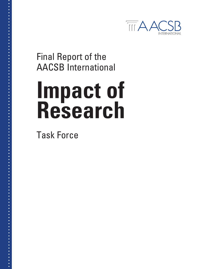

Final Report of the AACSB International

# **Impact of Research**

Task Force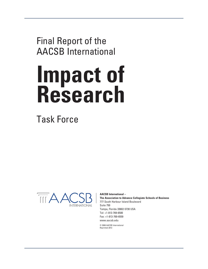Final Report of the AACSB International

# **Impact of Research**

Task Force



**AACSB International –**

**The Association to Advance Collegiate Schools of Business** 777 South Harbour Island Boulevard Suite 750 Tampa, Florida 33602-5730 USA Tel: +1-813-769-6500 Fax: +1-813-769-6559 www.aacsb.edu

© 2008 AACSB International Reprinted 2012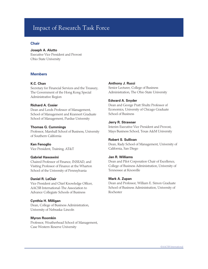# Impact of Research Task Force

#### **Chair**

#### **Joseph A. Alutto**

Executive Vice President and Provost Ohio State University

#### **Members**

#### **K.C. Chan**

Secretary for Financial Services and the Treasury, The Government of the Hong Kong Special Administrative Region

#### **Richard A. Cosier**

Dean and Leeds Professor of Management, School of Management and Krannert Graduate School of Management, Purdue University

#### **Thomas G. Cummings**

Professor, Marshall School of Business, University of Southern California

#### **Ken Fenoglio**

Vice President, Training, AT&T

#### **Gabriel Hawawini**

Chaired Professor of Finance, INSEAD, and Visiting Professor of Finance at the Wharton School of the University of Pennsylvania

#### **Daniel R. LeClair**

Vice President and Chief Knowledge Officer, AACSB International-The Association to Advance Collegiate Schools of Business

#### **Cynthia H. Milligan**

Dean, College of Business Administration, University of Nebraska-Lincoln

#### **Myron Roomkin**

Professor, Weatherhead School of Management, Case Western Reserve University

#### **Anthony J. Rucci**

Senior Lecturer, College of Business Administration, The Ohio State University

#### **Edward A. Snyder**

Dean and George Pratt Shultz Professor of Economics, University of Chicago Graduate School of Business

#### **Jerry R. Strawser**

Interim Executive Vice President and Provost, Mays Business School, Texas A&M University

#### **Robert S. Sullivan**

Dean, Rady School of Management, University of California, San Diego

#### **Jan R. Williams**

Dean and Pilot Corporation Chair of Excellence, College of Business Administration, University of Tennessee at Knoxville

#### **Mark A. Zupan**

Dean and Professor, William E. Simon Graduate School of Business Administration, University of Rochester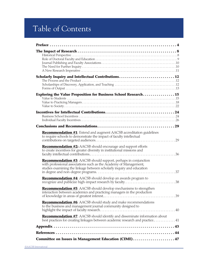# Table of Contents

| Scholarly Inquiry and Intellectual Contributions12                                                                                                                                                                   |  |
|----------------------------------------------------------------------------------------------------------------------------------------------------------------------------------------------------------------------|--|
| Exploring the Value Proposition for Business School Research15                                                                                                                                                       |  |
|                                                                                                                                                                                                                      |  |
|                                                                                                                                                                                                                      |  |
| Recommendation #1: Extend and augment AACSB accreditation guidelines<br>to require schools to demonstrate the impact of faculty intellectual                                                                         |  |
| <b>Recommendation #2:</b> AACSB should encourage and support efforts<br>to create incentives for greater diversity in institutional missions and                                                                     |  |
| <b>Recommendation #3:</b> AACSB should support, perhaps in conjunction<br>with professional associations such as the Academy of Management,<br>studies examining the linkage between scholarly inquiry and education |  |
| Recommendation #4: AACSB should develop an awards program to                                                                                                                                                         |  |
| <b>Recommendation #5:</b> AACSB should develop mechanisms to strengthen<br>interaction between academics and practicing managers in the production                                                                   |  |
| <b>Recommendation #6:</b> AACSB should study and make recommendations<br>to the business and management journal community designed to                                                                                |  |
| Recommendation #7: AACSB should identify and disseminate information about<br>best practices for creating linkages between academic research and practice 41                                                         |  |
|                                                                                                                                                                                                                      |  |
|                                                                                                                                                                                                                      |  |
| Committee on Issues in Management Education (CIME) 47                                                                                                                                                                |  |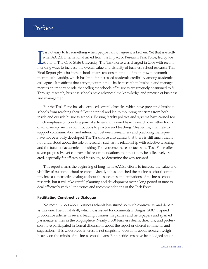# Preface

It is not easy to fix something when people cannot agree it is broken. Yet that is exactly what AACSB International asked from the Impact of Research Task Force, led by Joe Alutto of The Ohio State University. The Task For t is not easy to fix something when people cannot agree it is broken. Yet that is exactly what AACSB International asked from the Impact of Research Task Force, led by Joe Alutto of The Ohio State University. The Task Force was charged in 2006 with recom-Final Report gives business schools many reasons be proud of their growing commitment to scholarship, which has brought increased academic credibility among academic colleagues. It reaffirms that carrying out rigorous basic research in business and management is an important role that collegiate schools of business are uniquely positioned to fill. Through research, business schools have advanced the knowledge and practice of business and management.

But the Task Force has also exposed several obstacles which have prevented business schools from reaching their fullest potential and led to mounting criticisms from both inside and outside business schools. Existing faculty policies and systems have caused too much emphasis on counting journal articles and favored basic research over other forms of scholarship, such as contributions to practice and teaching. Meanwhile, channels to support communication and interaction between researchers and practicing managers have not been fully developed. The Task Force also admits that there is still much that is not understood about the role of research, such as its relationship with effective teaching and the future of academic publishing. To overcome these obstacles the Task Force offers seven progressive yet controversial recommendations that must now be collectively evaluated, especially for efficacy and feasibility, to determine the way forward.

This report marks the beginning of long-term AACSB efforts to increase the value and visibility of business school research. Already it has launched the business school community into a constructive dialogue about the successes and limitations of business school research, but it will take careful planning and development over a long period of time to deal effectively with all the issues and recommendations of the Task Force.

#### **Facilitating Constructive Dialogue**

No recent report about business schools has stirred so much controversy and debate as this one. The initial draft, which was issued for comments in August 2007, inspired provocative articles in several leading business magazines and newspapers and sparked passionate entries in the blogosphere. Nearly 1,000 business deans, directors, and professors have participated in formal discussions about the report or offered comments and suggestions. This widespread interest is not surprising; questions about research weigh heavily on the minds of business school deans. Biting criticisms have been lodged about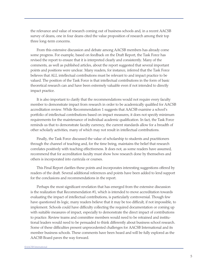the relevance and value of research coming out of business schools and, in a recent AACSB survey of deans, one in four deans cited the value proposition of research among their top three long-term concerns.

From this extensive discussion and debate among AACSB members has already come some progress. For example, based on feedback on the Draft Report, the Task Force has revised the report to ensure that it is interpreted clearly and consistently. Many of the comments, as well as published articles, about the report suggested that several important points and positions were unclear. Many readers, for instance, inferred that the Task Force believes that ALL intellectual contributions must be relevant to and impact practice to be valued. The position of the Task Force is that intellectual contributions in the form of basic theoretical research can and have been extremely valuable even if not intended to directly impact practice.

It is also important to clarify that the recommendations would not require every faculty member to demonstrate impact from research in order to be academically qualified for AACSB accreditation review. While Recommendation 1 suggests that AACSB examine a school's portfolio of intellectual contributions based on impact measures, it does not specify minimum requirements for the maintenance of individual academic qualification. In fact, the Task Force reminds us that to demonstrate faculty currency, the current standards allow for a breadth of other scholarly activities, many of which may not result in intellectual contributions.

Finally, the Task Force discussed the value of scholarship to students and practitioners through the channel of teaching and, for the time being, maintains the belief that research correlates positively with teaching effectiveness. It does not, as some readers have assumed, recommend that for accreditation faculty must show how research done by themselves and others is incorporated into curricula or courses.

This Final Report clarifies these points and incorporates interesting suggestions offered by readers of the draft. Several additional references and points have been added to lend support for the conclusions and recommendations in the report.

Perhaps the most significant revelation that has emerged from the extensive discussion is the realization that Recommendation #1, which is intended to move accreditation towards evaluating the impact of intellectual contributions, is particularly controversial. Though few have questioned its logic, many readers believe that it may be too difficult, if not impossible, to implement. Schools could have difficulty collecting the required documentation or coming up with suitable measures of impact, especially to demonstrate the direct impact of contributions to practice. Review teams and committee members would need to be retrained and institutional leaders would need to be persuaded to think differently about business school research. Some of these difficulties present unprecedented challenges for AACSB International and its member business schools. These comments have been heard and will be fully explored as the AACSB Board paves the way forward.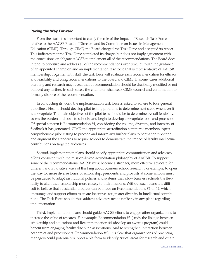#### **Paving the Way Forward**

From the start, it is important to clarify the role of the Impact of Research Task Force relative to the AACSB Board of Directors and its Committee on Issues in Management Education (CIME). Through CIME, the Board charged the Task Force and accepted its report. This indicates that the Task Force completed its charge, but does not imply agreement with the conclusions or obligate AACSB to implement all of the recommendations. The Board does intend to prioritize and address all of the recommendations over time, but with the guidance of an appointed champion and an implementation task force that is representative of AACSB membership. Together with staff, the task force will evaluate each recommendation for efficacy and feasibility and bring recommendations to the Board and CIME. In some, cases additional planning and research may reveal that a recommendation should be drastically modified or not pursued any further. In such cases, the champion shall seek CIME counsel and confirmation to formally dispose of the recommendation.

In conducting its work, the implementation task force is asked to adhere to four general guidelines. First, it should develop pilot testing programs to determine next steps whenever it is appropriate. The main objectives of the pilot tests should be to determine overall feasibility, assess the burden and costs to schools, and begin to develop appropriate tools and processes. Of special concern is Recommendation #1, considering the volume, diversity, and intensity of feedback it has generated. CIME and appropriate accreditation committee members expect comprehensive pilot testing to precede and inform any further plans to permanently extend and augment the standards to require schools to demonstrate the impact of faculty intellectual contributions on targeted audiences.

Second, implementation plans should specify appropriate communication and advocacy efforts consistent with the mission-linked accreditation philosophy of AACSB. To support some of the recommendations, AACSB must become a stronger, more effective advocate for different and innovative ways of thinking about business school research. For example, to open the way for more diverse forms of scholarship, presidents and provosts at some schools must be persuaded to adapt institutional policies and systems that allow business schools the flexibility to align their scholarship more closely to their missions. Without such plans it is difficult to believe that substantial progress can be made on Recommendations #1 or #2, which encourage and support efforts to create incentives for greater diversity in intellectual contributions. The Task Force should thus address advocacy needs explicitly in any plans regarding implementation.

Third, implementation plans should guide AACSB efforts to engage other organizations to increase the value of research. For example, Recommendation #3 (study the linkage between scholarship and education) and Recommendation #4 (develop an awards program) could benefit from engaging faculty discipline associations. And to strengthen interaction between academics and practitioners (Recommendation #5), it is clear that organizations of practicing managers could potentially support a platform to identify critical areas for research and create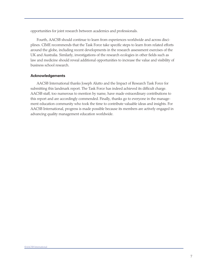opportunities for joint research between academics and professionals.

Fourth, AACSB should continue to learn from experiences worldwide and across disciplines. CIME recommends that the Task Force take specific steps to learn from related efforts around the globe, including recent developments in the research assessment exercises of the UK and Australia. Similarly, investigations of the research ecologies in other fields such as law and medicine should reveal additional opportunities to increase the value and visibility of business school research.

#### **Acknowledgements**

AACSB International thanks Joseph Alutto and the Impact of Research Task Force for submitting this landmark report. The Task Force has indeed achieved its difficult charge. AACSB staff, too numerous to mention by name, have made extraordinary contributions to this report and are accordingly commended. Finally, thanks go to everyone in the management education community who took the time to contribute valuable ideas and insights. For AACSB International, progress is made possible because its members are actively engaged in advancing quality management education worldwide.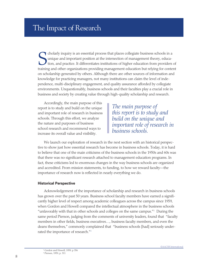Cholarly inquiry is an essential process that places collegiate business schools in a unique and important position at the intersection of management theory, education, and practice. It differentiates institutions of highe cholarly inquiry is an essential process that places collegiate business schools in a unique and important position at the intersection of management theory, education, and practice. It differentiates institutions of higher education from providers of on scholarship generated by others. Although there are other sources of information and knowledge for practicing managers, not many institutions can claim the level of independence, multi-disciplinary engagement, and quality assurance afforded by collegiate environments. Unquestionably, business schools and their faculties play a crucial role in business and society by creating value through high-quality scholarship and research.

Accordingly, the main purpose of this report is to study and build on the unique and important role of research in business schools. Through this effort, we analyze the nature and purposes of business school research and recommend ways to increase its overall value and visibility.

*The main purpose of this report is to study and build on the unique and important role of research in business schools.* 

We launch our exploration of research in the next section with an historical perspective to show just how essential research has become in business schools. Today, it is hard to believe that one of the main criticisms of the business schools in the 1950s and 60s was that there was no significant research attached to management education programs. In fact, these criticisms led to enormous changes in the way business schools are organized and accredited. From mission statements, to funding, to how we reward faculty—the importance of research now is reflected in nearly everything we do.

#### **Historical Perspective**

Acknowledgement of the importance of scholarship and research in business schools has grown over the past 50 years. Business school faculty members have earned a significantly higher level of respect among academic colleagues across the campus since 1959, when Gordon and Howell compared the intellectual atmosphere in the business schools "unfavorably with that in other schools and colleges on the same campus."<sup>1</sup> During the same period Pierson, judging from the comments of university leaders, found that "faculty members in other fields, business executives…, business faculty members, and even the deans themselves," commonly complained that "business schools [had] seriously underrated the importance of research."<sup>2</sup>

<sup>&</sup>lt;sup>1</sup> Gordon and Howell, 1959, p 356

<sup>2</sup> Pierson, 1959, p. 311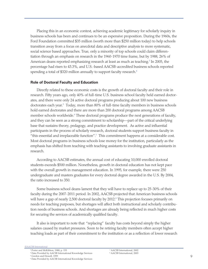Placing this in an economic context, achieving academic legitimacy for scholarly inquiry in business schools has been and continues to be an expensive proposition. During the 1960s, the Ford Foundation committed \$35 million (worth more than \$250 million today) to help schools transition away from a focus on anecdotal data and descriptive analysis to more systematic, social science based approaches. True, only a minority of top schools could claim differentiation through an emphasis on research in the 1960-1970 time frame, but by 1988, 26% of American deans reported emphasizing research at least as much as teaching.<sup>3</sup> In 2005, the percentage had risen to 43.3%, and U.S.-based AACSB-accredited business schools reported spending a total of \$320 million annually to support faculty research.<sup>4</sup>

#### **Role of Doctoral Faculty and Education**

Directly related to these economic costs is the growth of doctoral faculty and their role in research. Fifty years ago, only 40% of full-time U.S. business school faculty held earned doctorates, and there were only 24 active doctoral programs producing about 100 new business doctorates each year.<sup>5</sup> Today, more than 80% of full-time faculty members in business schools hold earned doctorates and there are more than 200 doctoral programs among AACSB member schools worldwide.<sup>6</sup> These doctoral programs produce the next generations of faculty, and they can be seen as a strong commitment to scholarship—part of the critical underlying base that sustains theory, pedagogy, and practice development. As active and influential participants in the process of scholarly research, doctoral students support business faculty in "this essential and irreplaceable function".7 This commitment happens at a considerable cost. Most doctoral programs in business schools lose money for the institution, particularly as the emphasis has shifted from teaching with teaching assistants to involving graduate assistants in research.

According to AACSB estimates, the annual cost of educating 10,000 enrolled doctoral students exceeds \$500 million. Nonetheless, growth in doctoral education has not kept pace with the overall growth in management education. In 1995, for example, there were 250 undergraduate and masters graduates for every doctoral degree awarded in the U.S. By 2004, the ratio increased to 350.

Some business school deans lament that they will have to replace up to 25-30% of their faculty during the 2007-2011 period. In 2002, AACSB projected that American business schools will have a gap of nearly 2,500 doctoral faculty by 2012.<sup>8</sup> This projection focuses primarily on needs for teaching purposes, but shortages will affect both instructional and scholarly contribution needs of business schools. And shortages are already being reflected in much higher costs for securing the services of academically qualified faculty.

It also is important to note that "replacing" faculty has costs beyond simply the higher salaries caused by market pressures. Soon to be retiring faculty members often accept higher teaching loads as part of their commitment to the institution or as a reflection of lower research

4 Data Provided by AACSB International Knowledge Services

7 AACSB International, 2002 8 AACSB International, 2003

<sup>5</sup> Gordon and Howell, 1959

<sup>6</sup> Data Provided by AACSB International Knowledge Services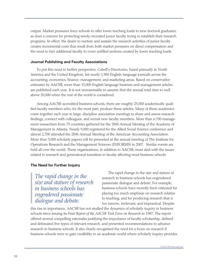output. Market pressures force schools to offer lower teaching loads to new doctoral graduates, as does a concern for protecting newly-recruited junior faculty trying to establish their research programs. In effect, the desire to nurture and sustain the research activities of junior faculty creates incremental costs that result from both market pressures on direct compensation and the need to hire additional faculty to cover unfilled sections created by lower teaching loads.

#### **Journal Publishing and Faculty Associations**

To put this need in further perspective, Cabell's Directories, based primarily in North America and the United Kingdom, list nearly 1,900 English-language journals across the accounting, economics, finance, management, and marketing areas. Based on conservative estimates by AACSB, more than 15,000 English language business and management articles are published each year. It is not unreasonable to assume that the annual total rises to well above 20,000 when the rest of the world is considered.

Among AACSB-accredited business schools, there are roughly 25,000 academically qualified faculty members who, for the most part, produce these articles. Many of these academics come together each year in large, discipline association meetings to share and assess research findings, connect with colleagues, and recruit new faculty members. More than 6,700 management researchers from 73 countries gathered for the 2006 Annual Meeting of the Academy of Management in Atlanta. Nearly 9,000 registered for the Allied Social Science conference and almost 2,700 attended the 2006 Annual Meeting of the American Accounting Association. More than 3,000 scholarly papers will be presented at the annual meeting of The Institute for Operations Research and the Management Sciences (INFORMS) in 2007. Similar events are held all over the world. These organizations, in addition to AACSB, must deal with the issues related to research and generational transition in faculty affecting most business schools.

#### **The Need for Further Inquiry**

*The rapid change in the size and stature of research in business schools has engendered passionate dialogue and debate.*

The rapid change in the size and stature of research in business schools has engendered passionate dialogue and debate. For example, business schools have recently been criticized for placing too much emphasis on research relative to teaching, and for producing research that is too narrow, irrelevant, and impractical. Despite

this rise in importance, AACSB has not studied the dynamics of scholarly inquiry in business schools since issuing its *Final Report of the AACSB Task Force on Research* in 1987. The report offered several compelling rationales justifying the importance of faculty scholarship, defined and delineated five types of relevant research, and presented recommendations to advance research in business schools. It also clearly recognized the need for a focus on research if business schools were to gain credibility in an academic world where scholarly inquiry provides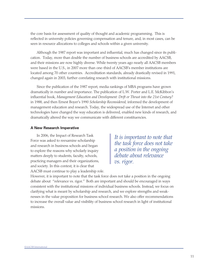the core basis for assessment of quality of thought and academic programming. This is reflected in university policies governing compensation and tenure, and, in most cases, can be seen in resource allocations to colleges and schools within a given university.

Although the 1987 report was important and influential, much has changed since its publication. Today, more than double the number of business schools are accredited by AACSB, and their missions are now highly diverse. While twenty years ago nearly all AACSB members were based in the U.S., in 2007 more than one-third of AACSB's member institutions are located among 70 other countries. Accreditation standards, already drastically revised in 1991, changed again in 2003, further correlating research with institutional missions.

Since the publication of the 1987 report, media rankings of MBA programs have grown dramatically in number and importance. The publication of L.W. Porter and L.E. McKibbon's influential book, *Management Education and Development: Drift or Thrust into the 21st Century?* in 1988, and then Ernest Boyer's 1990 *Scholarship Reconsidered*, informed the development of management education and research. Today, the widespread use of the Internet and other technologies have changed the way education is delivered, enabled new kinds of research, and dramatically altered the way we communicate with different constituencies.

#### **A New Research Imperative**

In 2006, the Impact of Research Task Force was asked to reexamine scholarship and research in business schools and began to explore the reasons why scholarly inquiry matters deeply to students, faculty, schools, practicing managers and their organizations, and society. In this context, it is clear that AACSB must continue to play a leadership role.

*It is important to note that the task force does not take a position in the ongoing debate about relevance vs. rigor.* 

However, it is important to note that the task force does not take a position in the ongoing debate about "relevance vs. rigor." Both are important and should be encouraged in ways consistent with the institutional missions of individual business schools. Instead, we focus on clarifying what is meant by scholarship and research, and we explore strengths and weaknesses in the value proposition for business school research. We also offer recommendations to increase the overall value and visibility of business school research in light of institutional missions.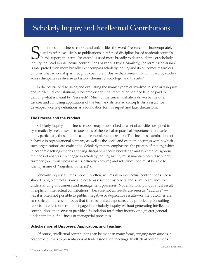# Scholarly Inquiry and Intellectual Contributions

Solutions in pussiness schools and universities the word "research" is inappropriately used to refer exclusively to publications in refereed discipline-based academic journals. In this report, the term "research" is used m ometimes in business schools and universities the word "research" is inappropriately used to refer exclusively to publications in refereed discipline-based academic journals. In this report, the term "research" is used more broadly to describe forms of scholarly is interpreted even more broadly to encompass scholarly inquiry and its outcomes regardless of form. That scholarship is thought to be more inclusive than research is confirmed by studies across disciplines as diverse as history, chemistry, sociology, and the arts.<sup>9</sup>

In the course of discussing and evaluating the many dynamics involved in scholarly inquiry and intellectual contributions, it became evident that more attention needs to be paid to defining what is meant by "research". Much of the current debate is driven by the often cavalier and confusing applications of the term and its related concepts. As a result, we developed working definitions as a foundation for this report and later discussions.

#### **The Process and the Product**

Scholarly inquiry in business schools may be described as a set of activities designed to systematically seek answers to questions of theoretical or practical importance to organizations, particularly those that focus on economic value creation. This includes examinations of behavior in organizational contexts, as well as the social and economic settings within which such organizations are embedded. Scholarly inquiry emphasizes the process of inquiry, which in academic settings means applying discipline-specific knowledge and systematic, rigorous methods of analysis. To engage in scholarly inquiry, faculty must maintain both disciplinary currency (one must know what is "already known") and relevance (one must be able to identify issues of "significant interest").

Scholarly inquiry at times, hopefully often, will result in intellectual contributions. These shared, tangible products are subject to assessment by others and serve to advance the understanding of business and management processes. Not all scholarly inquiry will result in explicit "intellectual contributions" because not all results are seen as "additive" i.e., it is often not possible to publish negative or duplicative results—or the outcomes are so restricted in access or focus that there is limited exposure, e.g., proprietary consulting reports. In effect, one can be engaged in scholarly inquiry without generating intellectual contributions that serve to provide a foundation for further inquiry or a greater general understanding of business or managerial processes.

#### **Scholarships of Discovery, Application, and Teaching**

Of course, intellectual contributions can be made in many forms, ranging from articles in academic journals to presentations at trade association meetings. Intellectual contributions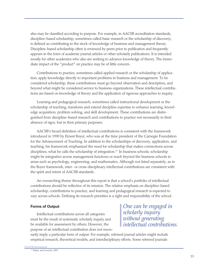also may be classified according to purpose. For example, in AACSB accreditation standards, discipline-based scholarship, sometimes called basic research or the scholarship of discovery, is defined as contributing to the stock of knowledge of business and management theory. Discipline-based scholarship often is reviewed by peers prior to publication and frequently appears in the form of academic journal articles or other scholarly publications. It is intended mostly for other academics who also are seeking to advance knowledge of theory. The immediate impact of the "product" on practice may be of little concern.

Contributions to practice, sometimes called applied research or the scholarship of application, apply knowledge directly to important problems in business and management. To be considered scholarship, these contributions must go beyond observation and description, and beyond what might be considered service to business organizations. These intellectual contributions are based on knowledge of theory and the application of rigorous approaches to inquiry.

Learning and pedagogical research, sometimes called instructional development or the scholarship of teaching, transform and extend discipline expertise to enhance learning, knowledge acquisition, problem solving, and skill development. These contributions are distinguished from discipline-based research and contributions to practice not necessarily in their absence of rigor, but in their primary purposes.

AACSB's broad definition of intellectual contributions is consistent with the framework introduced in 1990 by Ernest Boyer, who was at the time president of the Carnegie Foundation for the Advancement of Teaching. In addition to the scholarships of discovery, application, and teaching, his framework emphasized the need for scholarship that makes connections across disciplines, what he calls the scholarship of integration.<sup>10</sup> In business schools, scholarship might be integrative across management functions or reach beyond the business schools to areas such as psychology, engineering, and mathematics. Although not listed separately, as in the Boyer framework, inter- or cross-disciplinary intellectual contributions are consistent with the spirit and intent of AACSB standards.

An overarching theme throughout this report is that a school's portfolio of intellectual contributions should be reflective of its mission. The relative emphasis on discipline-based scholarship, contributions to practice, and learning and pedagogical research is expected to vary across schools. Defining its research priorities is a right and responsibility of the school.

#### **Forms of Output**

Intellectual contributions across all categories must be the result of systematic scholarly inquiry and be available for assessment by others. However, the purpose of an intellectual contribution does not neces-

*One can be engaged in scholarly inquiry without generating intellectual contributions.*

sarily imply a particular form of output. For example, refereed journal articles might include empirical research, theoretical models, and interdisciplinary efforts. Some refereed journals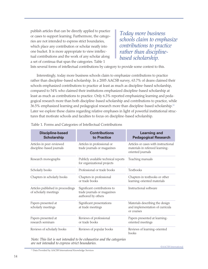publish articles that can be directly applied to practice or cases to support learning. Furthermore, the categories are not intended to express strict boundaries, which place any contribution or scholar neatly into one bucket. It is more appropriate to view intellectual contributions and the work of any scholar along a set of continua that span the categories. Table 1

*Today more business schools claim to emphasize contributions to practice rather than disciplinebased scholarship.*

lists several forms of intellectual contributions by category to provide some context to this.

Interestingly, today more business schools claim to emphasize contributions to practice rather than discipline-based scholarship. In a 2005 AACSB survey, 63.7% of deans claimed their schools emphasized contributions to practice at least as much as discipline-based scholarship, compared to 54% who claimed their institutions emphasized discipline-based scholarship at least as much as contributions to practice. Only 6.3% reported emphasizing learning and pedagogical research more than both discipline-based scholarship and contributions to practice, while 36.5% emphasized learning and pedagogical research more than discipline-based scholarship.11 Later we explore these claims regarding relative emphases in light of powerful institutional structures that motivate schools and faculties to focus on discipline-based scholarship.

| <b>Discipline-based</b><br><b>Scholarship</b>              | <b>Contributions</b><br>to Practice                                               | <b>Learning and</b><br><b>Pedagogical Research</b>                                           |
|------------------------------------------------------------|-----------------------------------------------------------------------------------|----------------------------------------------------------------------------------------------|
| Articles in peer-reviewed<br>discipline-based journals     | Articles in professional or<br>trade journals or magazines                        | Articles or cases with instructional<br>materials in refereed learning-<br>oriented journals |
| Research monographs                                        | Publicly available technical reports<br>for organizational projects               | Teaching manuals                                                                             |
| Scholarly books                                            | Professional or trade books                                                       | Textbooks                                                                                    |
| Chapters in scholarly books                                | Chapters in professional<br>or trade books                                        | Chapters in textbooks or other<br>learning-oriented materials                                |
| Articles published in proceedings<br>of scholarly meetings | Significant contributions to<br>trade journals or magazines<br>authored by others | Instructional software                                                                       |
| Papers presented at<br>scholarly meetings                  | Significant presentations<br>at trade meetings                                    | Materials describing the design<br>and implementation of curricula<br>or courses             |
| Papers presented at<br>research seminars                   | Reviews of professional<br>or trade books                                         | Papers presented at learning-<br>oriented meetings                                           |
| Reviews of scholarly books                                 | Reviews of popular books                                                          | Reviews of learning-oriented<br>books                                                        |

Table 1. Forms and Categories of Intellectual Contributions

*Note: This list is not intended to be exhaustive and the categories are not intended to express strict boundaries.*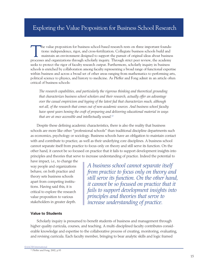The value proposition for business school-based research rests on three important founda-<br>tions: independence, rigor, and cross-fertilization. Collegiate business schools build and<br>maintain an environment designed to suppo tions: independence, rigor, and cross-fertilization. Collegiate business schools build and processes and organizations through scholarly inquiry. Through strict peer review, the academy seeks to protect the rigor of faculty research output. Furthermore, scholarly inquiry in business schools is enriched by collaboration among faculty representing a broad range of functional expertise within business and across a broad set of other areas ranging from mathematics to performing arts, political science to physics, and history to medicine. As Pfeffer and Fong admit in an article often critical of business schools:

*The research capabilities, and particularly the rigorous thinking and theoretical grounding that characterizes business school scholars and their research, actually offer an advantage over the casual empiricism and hyping of the latest fad that characterizes much, although not all, of the research that comes out of non-academic sources. And business school faculty have spent years honing the craft of preparing and delivering educational material in ways that are at once accessible and intellectually sound.<sup>12</sup>*

Despite these defining academic characteristics, there is also the reality that business schools are more like other "professional schools" than traditional discipline departments such as economics, psychology or sociology. Business schools have an obligation to maintain contact with and contribute to practice, as well as their underlying core disciplines. A business school cannot separate itself from practice to focus only on theory and still serve its function. On the other hand, it cannot be so focused on practice that it fails to support development insights into principles and theories that serve to increase understanding of practice. Indeed the potential to

have impact, i.e., to change the way people and organizations behave, on both practice and theory sets business schools apart from competing institutions. Having said this, it is critical to explore the research value proposition to various stakeholders in greater depth.

*A business school cannot separate itself from practice to focus only on theory and still serve its function. On the other hand, it cannot be so focused on practice that it fails to support development insights into principles and theories that serve to increase understanding of practice.*

#### **Value to Students**

Scholarly inquiry is presumed to benefit students of business and management through higher quality curricula, courses, and teaching. A multi-disciplined faculty contributes considerable knowledge and expertise to the collaborative process of creating, monitoring, evaluating, and revising curricula. Each faculty member, bringing to bear analytic skills and logic framed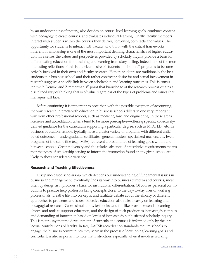by an understanding of inquiry, also decides on course-level learning goals, combines content with pedagogy to create courses, and evaluates individual learning. Finally, faculty members interact with students within the courses they deliver, conveying both facts and values. The opportunity for students to interact with faculty who think with the critical frameworks inherent in scholarship is one of the most important defining characteristics of higher education. In a sense, the values and perspectives provided by scholarly inquiry provide a basis for differentiating education from training and learning from story-telling. Indeed, one of the more interesting reflections of this is the clear desire of students in "honors" programs to become actively involved in their own and faculty research. Honors students are traditionally the best students in a business school and their rather consistent desire for and actual involvement in research suggests a specific link between scholarship and learning outcomes. This is consistent with Demski and Zimmerman's<sup>13</sup> point that knowledge of the research process creates a disciplined way of thinking that is of value regardless of the types of problems and issues that managers will face.

Before continuing it is important to note that, with the possible exception of accounting, the way research interacts with education in business schools differs in one very important way from other professional schools, such as medicine, law, and engineering. In these areas, licensure and accreditation criteria tend to be more prescriptive—offering specific, collectivelydefined guidance for the curriculum supporting a particular degree, such as M.D., J.D., etc. In business education, schools typically have a greater variety of programs with different anticipated outcomes —undergraduate, certificates, general masters, specialized masters, etc. Even programs of the same title (e.g., MBA) represent a broad range of learning goals within and between schools. Greater diversity and the relative absence of prescriptive requirements means that the types of scholarship serving to inform the instruction found at any given school are likely to show considerable variance.

#### **Research and Teaching Effectiveness**

Discipline-based scholarship, which deepens our understanding of fundamental issues in business and management, eventually finds its way into business curricula and courses, most often by design as it provides a basis for institutional differentiation. Of course, personal contributions to practice help professors bring concepts closer to the day-to-day lives of working professionals, breathe life into concepts, and facilitate debate about the efficacy of different approaches to problems and issues. Effective education also relies heavily on learning and pedagogical research. Cases, simulations, textbooks, and the like provide essential learning objects and tools to support education, and the design of such products is increasingly complex and demanding of innovation based on levels of increasingly sophisticated scholarly inquiry. This is not to say that the development of curricula and courses is informed only by the intellectual contributions of faculty. In fact, AACSB accreditation standards require schools to engage the business communities they serve in the process of developing learning goals and curricula. It is also important to note that instruction, especially when it involves working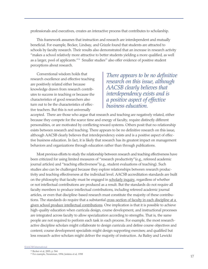professionals and executives, creates an interactive process that contributes to scholarship.

This framework assumes that instruction and research are interdependent and mutually beneficial. For example, Becker, Lindsay, and Grizzle found that students are attracted to schools by faculty research. Their results also demonstrated that an increase in research activity "makes a school relatively more attractive to better students yielding a more qualified, as well as a larger, pool of applicants."<sup>14</sup> Smaller studies<sup>15</sup> also offer evidence of positive student perceptions about research.

Conventional wisdom holds that research excellence and effective teaching are positively related either because knowledge drawn from research contributes to success in teaching or because the characteristics of good researchers also turn out to be the characteristics of effective teachers. But this is not universally

*There appears to be no definitive research on this issue, although AACSB clearly believes that interdependency exists and is a positive aspect of effective business education.*

accepted. There are those who argue that research and teaching are negatively related, either because they compete for the scarce time and energy of faculty, require distinctly different personalities, or are motivated by conflicting reward systems. Others posit that no relationship exists between research and teaching. There appears to be no definitive research on this issue, although AACSB clearly believes that interdependency exists and is a positive aspect of effective business education. In fact, it is likely that research has its greatest impact on management behaviors and organizations through education rather than through publications.

Most previous efforts to study the relationship between research and teaching effectiveness have been criticized for using limited measures of "research productivity"(e.g., refereed academic journal articles) and "teaching effectiveness"(e.g., student evaluations of teaching). Such studies also can be challenged because they explore relationships between research productivity and teaching effectiveness at the individual level. AACSB accreditation standards are built on the philosophy that faculty must be engaged in scholarly inquiry, regardless of whether or not intellectual contributions are produced as a result. But the standards do not require all faculty members to produce intellectual contributions, including refereed academic journal articles, or even that discipline-based research must constitute the majority of these contributions. The standards do require that a substantial cross-section of faculty in each discipline at a given school produce intellectual contributions. One implication is that it is possible to achieve high-quality education when curricula design, course development, and instructional processes are integrated across faculty to allow specialization according to strengths. That is, the same people are not required to perform each task in each process. For example, the most researchactive discipline scholars might collaborate to design curricula and define course objectives and content; course development specialists might design supporting exercises; and qualified but less research-active scholars might deliver the majority of instruction. As Bailey and Lewicki

<sup>15</sup> For example, Neumman, 1994; Jenkins et al, 1998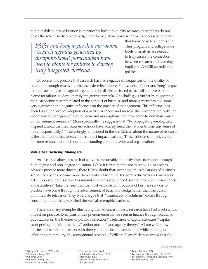put it, "while quality education is inextricably linked to quality research, researchers do not enjoy the sole custody of knowledge, nor do they alone possess the skills necessary to deliver

*Pfeffer and Fong argue that narrowing research agendas generated by discipline-based parochialism have been to blame for failures to develop truly integrated curricula.* 

that knowledge to students." 16 Thus program and college-wide levels of analysis are needed to truly assess the connection between research and teaching implicit in AACSB accreditation policies.

Of course, it is possible that research has had negative consequences on the quality of education through exactly the channels described above. For example, Pfeffer and Fong<sup>17</sup> argue that narrowing research agendas generated by discipline-based parochialism have been to blame for failures to develop truly integrative curricula. Ghoshal<sup>18</sup> goes further by suggesting that "academic research related to the conduct of business and management has had some very significant and negative influences on the practice of management. This influence has been less at the level of adoption of a particular theory and more at the incorporation, with the worldview of managers, of a set of ideas and assumptions that have come to dominate much of management research." More specifically, he suggests that "by propagating ideologically inspired amoral theories, business schools have actively freed their students from any sense of moral responsibility."<sup>19</sup> Interestingly, embedded in these criticisms about the nature of research is the assumption that research does in fact impact teaching. These criticisms, in fact, cry out for more research to enrich our understanding about behavior and organizations.

#### **Value to Practicing Managers**

As discussed above, research of all types presumably indirectly impacts practice through both degree and non-degree education. While it is true that business schools also seek to advance practice more directly, there is little doubt that, over time, the scholarship of business school faculty has become more theoretical and scientific. For some educators and managers alike, this evolution is viewed as natural and necessary. Indeed, several prominent researchers<sup>20</sup> and executives<sup>21</sup> take the view that the most valuable contributions of business schools to practice have come through the advancement of basic knowledge rather than the pursuit of immediate relevance. They would argue that "immediacy of solutions" comes through consulting rather than published theoretical or empirical articles.

There are many examples illustrating that advances in basic research have had a substantial impact on practice. Exemplars of this phenomenon can be seen in finance through academic publications on the theories of portfolio selection,<sup>22</sup> irrelevance of capital structure,<sup>23</sup> capital asset pricing,<sup>24</sup> efficient markets,<sup>25</sup> option pricing,<sup>26</sup> and agency theory.<sup>27</sup> All are well-known for their substantial impact on both theory and practice. In accounting, while building on efficient market theory, the foundational research of William Beaver<sup>28</sup> demonstrated that the

21 For example, John Reed in interview with Augier, 2006 22 Markowitz, 1952

23 Modigliani and Miller, 1958

24 Sharpe, 1964

©AACSB International

- 25 Fama, 1965 and 1970
- 26 For example, Black and Scholes, 1973
- 27 For example, Jensen and Meckling, 1976
- 28 William Beaver, 1968

<sup>16</sup> Bailey and Lewicki, 2007, p. 36

<sup>&</sup>lt;sup>17</sup> Pfeffer and Fong, 2002

<sup>18</sup> Ghoshal, 2005

<sup>19</sup> Ghoshal, 2005, p. 76 20 For example, March, 2000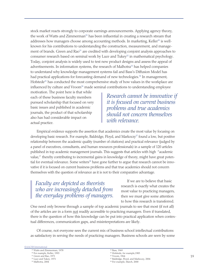stock market reacts strongly to corporate earnings announcements. Applying agency theory, the work of Watts and Zimmerman<sup>29</sup> has been influential in creating a research stream that addresses how managers choose among accounting methods. In marketing, Keller<sup>30</sup> is wellknown for his contributions to understanding the construction, measurement, and management of brands. Green and Rao<sup>31</sup> are credited with developing conjoint analysis approaches to consumer research based on seminal work by Luce and Tukey<sup>32</sup> in mathematical psychology. Today, conjoint analysis is widely used to test new product designs and assess the appeal of advertisements. In information systems, the research of Malhotra<sup>33</sup> has helped companies to understand why knowledge management systems fail and Bass's Diffusion Model has had practical applications for forecasting demand of new technologies.<sup>34</sup> In management, Hofstede<sup>35</sup> has conducted the most comprehensive study of how values in the workplace are influenced by culture and Vroom $36$  made seminal contributions to understanding employee

motivation. The point here is that while each of these business faculty members pursued scholarship that focused on very basic issues and published in academic journals, the product of that scholarship also has had considerable impact on actual practice.

*Research cannot be innovative if it is focused on current business problems and true academics should not concern themselves with relevance.*

Empirical evidence supports the assertion that academics create the most value by focusing on developing basic research. For example, Baldridge, Floyd, and Markoczy<sup>37</sup> found a low, but positive relationship between the academic quality (number of citations) and practical relevance (judged by a panel of executives, consultants, and human resources professionals) in a sample of 120 articles published in top academic management journals. This suggests that articles with high "academic value," thereby contributing to incremental gains in knowledge of theory, might have great potential for eventual relevance. Some writers<sup>38</sup> have gone further to argue that research cannot be innovative if it is focused on current business problems and that true academics should not concern themselves with the question of relevance as it is not to their comparative advantage.

# *Faculty are depicted as theorists who are increasingly detached from the everyday problems of managers.*

If we are to believe that basic research is exactly what creates the most value to practicing managers, then we must give some attention to how this research is transferred.

One need only browse through a sample of top academic journals to see that most (if not all) of the articles are in a form not readily accessible to practicing managers. Even if translated, there is the question of how this knowledge can be put into practical application when contextual differences, communication gaps, and misinterpretations are likely.

Of course, not everyone sees the current mix of business school intellectual contributions as satisfactory in serving the needs of practicing managers. Business schools are seen by some

#### ©AACSB International

<sup>33</sup> Malhotra, 2004

37 Baldridge, Floyd, and Markoczy, 2004

<sup>29</sup> Watts and Zimmerman, 1978

<sup>30</sup> For example, Keller, 1993

<sup>&</sup>lt;sup>31</sup> Green and Rao, 1971

<sup>32</sup> Luce and Tukey, 1971

<sup>34</sup> Bass, 1969

<sup>35</sup> Hofstede, for example,1983

<sup>36</sup> Vroom, 1964

<sup>38</sup> For example, March, 2000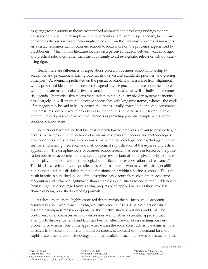as giving greater priority to theory over applied research<sup>39</sup> and producing findings that are not sufficiently useful to be implemented by practitioners.<sup>40</sup> From this perspective, faculty are depicted as theorists who are increasingly detached from the everyday problems of managers. As a result, reformers call for business schools to focus more on the problems experienced by practitioners.41 Much of this literature focuses on a perceived tradeoff between academic rigor and practical relevance, rather than the opportunity to achieve greater relevance without sacrificing rigor.

Clearly there are differences in expectations placed on business school scholarship by academics and practitioners. Each group has its own distinct standards, priorities, and guiding principles.<sup>42</sup> Academia is predicated on the pursuit of scholarly interests free from alignment with a prescribed ideological or commercial agenda, while practitioners are concerned more with immediate managerial effectiveness and shareholder value, as well as individual commercial agendas. In practice, this means that academics tend to be involved in systematic inquiry based largely on well structured objective approaches with long time frames, whereas the work of managers may be said to be less structured, and is usually enacted under highly-constrained time pressures. While it would be easy to assume that this could cause an insurmountable barrier, it also is possible to view the differences as providing potential complements in the creation of knowledge.

Some critics have argued that business research has become less relevant to practice largely because of the growth in importance of academic disciplines.43 Theories and methodologies developed in such disciplines as economics, mathematics, sociology, and psychology often are seen as emphasizing theoretical and methodological sophistication at the expense of practical application.<sup>44</sup> The discipline focus of business school research has been reinforced by the publication policies of academic journals. Leading peer review journals often give priority to articles that display theoretical and methodological sophistication over application and relevance.<sup>45</sup> This bias is exacerbated by the predilections of journal editors who may feel a stronger affiliation to their academic discipline than to a functional area within a business school.<sup>46</sup> This can result in articles published in one of the discipline-based journals receiving more academic recognition and "claimed legitimacy" than an article in a business school journal. Additionally, faculty might be discouraged from starting projects of an applied nature as they have less chance of being published in leading journals.

A related theme is the highly-contested debate within the business school academic community about what constitutes high-quality research.<sup>47</sup> This debate centers on which research paradigm is most appropriate for the effective study of business problems. The controversy often coalesces around a discussion over whether a scientific approach that attempts to discover patterns and laws has been an effective way of researching business problems, or whether one of the approaches within the social constructivist paradigm is more effective. In the case of both scientific and constructivist approaches, the demand for more sophisticated theory and methodology often has resulted in such high levels of abstraction that,

Pfeffer & Fong, 2002; Starkey & Madan, 2001

43 de Rond & Miller, 2005

©AACSB International

<sup>39</sup> Rynes et al, 2001

<sup>42</sup> Barley et al, 1988

<sup>44</sup> Pfeffer & Fong, 2002; Bennis & O'Toole, 2005 45 Bailey & Ford, 1996

<sup>46</sup> Knights & Willmott, 1997 47 Whitley, 1984; Ghosal, 2005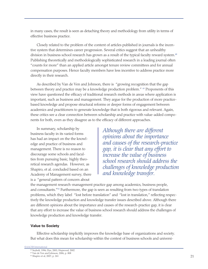in many cases, the result is seen as detaching theory and methodology from utility in terms of effective business practice.

Closely related to the problem of the content of articles published in journals is the incentive system that determines career progression. Several critics suggest that an unhealthy division in business school research has grown as a result of the typical faculty reward system.<sup>48</sup> Publishing theoretically and methodologically sophisticated research in a leading journal often "counts for more" than an applied article amongst tenure review committees and for annual compensation purposes. Hence faculty members have less incentive to address practice more directly in their research.

As described by Van de Ven and Johnson, there is "growing recognition that the gap between theory and practice may be a knowledge production problem." 49 Proponents of this view have questioned the efficacy of traditional research methods in areas where application is important, such as business and management. They argue for the production of more practicebased knowledge and propose structural reforms or deeper forms of engagement between academics and practitioners to generate knowledge that is both rigorous and relevant. Again, these critics see a clear connection between scholarship and practice with value-added components for both, even as they disagree as to the efficacy of different approaches.

In summary, scholarship by business faculty in its varied forms has had an impact on the the knowledge and practice of business and management. There is no reason to discourage some schools and faculties from pursuing basic, highly theoretical research agendas. However, as Shapiro, et al. concluded based on an Academy of Management survey, there is a "general pattern of concern about

*Although there are different opinions about the importance and causes of the research-practice gap, it is clear that any effort to increase the value of business school research should address the challenges of knowledge production and knowledge transfer.*

the management research-management practice gap among academics, business people, and consultants."50 Furthermore, the gap is seen as resulting from two types of translation problems, which they label "lost before translation" and "lost in translation," reflecting respectively the knowledge production and knowledge transfer issues described above. Although there are different opinions about the importance and causes of the research-practice gap, it is clear that any effort to increase the value of business school research should address the challenges of knowledge production and knowledge transfer.

#### **Value to Society**

Effective scholarship implicitly improves the knowledge base of organizations and society. But what does this mean for scholarship within the context of business schools and universi-

©AACSB International

<sup>48</sup> Seybolt, 1996; Dye, 2001; Hopwood, 2002

<sup>49</sup> Van de Ven and Johnson, 2006, p. 808

<sup>50</sup> Shapiro et al, 2007, p. 261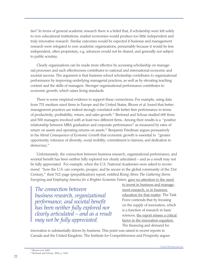ties? In terms of general academic research there is a belief that, if scholarship were left solely to non-educational institutions, market economies would produce too little independent and truly innovative research. Similar outcomes would be expected if business and management research were relegated to non-academic organizations, presumably because it would be less independent, often proprietary, e.g. advances would not be shared, and generally not subject to public scrutiny.

Clearly organizations can be made more effective by accessing scholarship on managerial processes and such effectiveness contributes to national and international economic and societal success. The argument is that business school scholarship contributes to organizational performance by improving underlying managerial practices, as well as by elevating teaching content and the skills of managers. Stronger organizational performance contributes to economic growth, which raises living standards.

There is some empirical evidence to support these connections. For example, using data from 731 medium sized firms in Europe and the United States, Bloom et al. found that better management practices are indeed strongly correlated with better firm performance in terms of productivity, profitability, return, and sales growth.<sup>51</sup> Bertrand and Schoar studied 600 firms and 500 managers involved with at least two different firms. Among their results is a "positive relationship between MBA graduation and corporate performance" as measured by rates of return on assets and operating returns on assets. $52$  Benjamin Friedman argues persuasively in his *Moral Consequences of Economic Growth* that economic growth is essential to "greater opportunity, tolerance of diversity, social mobility, commitment to fairness, and dedication to democracy."

Unfortunately, the connection between business research, organizational performance, and societal benefit has been neither fully explored nor clearly articulated – and as a result may not be fully appreciated. For example, when the U.S. National Academies were asked to recommend "how the U.S. can compete, prosper, and be secure in the global community of the 21st Century," their 512-page (prepublication) report, entitled *Rising Above The Gathering Storm: Energizing and Employing America for a Brighter Economic Future*, gave no attention to the need

*The connection between business research, organizational performance, and societal benefit has been neither fully explored nor clearly articulated – and as a result may not be fully appreciated.* 

to invest in business and management research, or in business education for that matter. The Task Force contends that by focusing on the supply of innovation, which is a function of research in basic sciences, the report misses a critical factor in the innovation equation. The financing and demand for

innovation is substantially driven by business. This point was raised in recent reports in Canada and the United Kingdom. The Institute for Competitiveness and Prosperity argues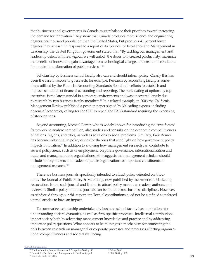that businesses and governments in Canada must rebalance their priorities toward increasing the demand for innovation. They show that Canada produces more science and engineering degrees per thousand population than the United States, but produces 41 percent fewer degrees in business.<sup>53</sup> In response to a report of its Council for Excellence and Management in Leadership, the United Kingdom government stated that "By tackling our management and leadership deficit with real vigour, we will unlock the doors to increased productivity, maximize the benefits of innovation, gain advantage from technological change, and create the conditions for a radical transformation of public services." 54

Scholarship by business school faculty also can and should inform policy. Clearly this has been the case in accounting research, for example. Research by accounting faculty is sometimes utilized by the Financial Accounting Standards Board in its efforts to establish and improve standards of financial accounting and reporting. The back-dating of options by top executives is the latest scandal in corporate environments and was uncovered largely due to research by two business faculty members.<sup>55</sup> In a related example, in 2006 the California Management Review published a position paper signed by 30 leading experts, including dozens of academics, calling for the SEC to repeal the FASB standard requiring the expensing of stock options.

Beyond accounting, Michael Porter, who is widely known for introducing the "five forces" framework to analyze competition, also studies and consults on the economic competitiveness of nations, regions, and cities, as well as solutions to social problems. Similarly, Paul Romer has become influential in policy circles for theories that shed light on how government policy impacts innovation.<sup>56</sup> In addition to showing how management research can contribute to several policy areas, such as unemployment, corporate governance, internationalization and trade, and managing public organizations, Hitt suggests that management scholars should include "policy makers and leaders of public organizations as important constituents of management research."57

There are business journals specifically intended to attract policy-oriented contributions. The Journal of Public Policy & Marketing, now published by the American Marketing Association, is one such journal and it aims to attract policy makers as readers, authors, and reviewers. Similar policy-oriented journals can be found across business disciplines. However, as reinforced throughout this report, intellectual contributions need not be confined to refereed journal articles to have an impact.

To summarize, scholarship undertaken by business school faculty has implications for understanding societal dynamics, as well as firm-specific processes. Intellectual contributions impact society both by advancing management knowledge and practice and by addressing important policy questions. What appears to be missing is a mechanism for connecting the dots between research on managerial or corporate processes and processes affecting organizational competitiveness and societal well being.

©AACSB International

<sup>53</sup> The Institute for Competitiveness and Prosperity, 2006, p. 46

<sup>54</sup> Council for Excellence and Management in Leadership, p. 1

<sup>55</sup> Yermack, 1998; Lie, 2005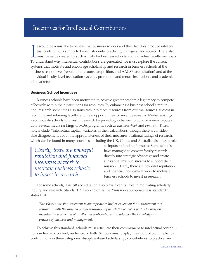# Incentives for Intellectual Contributions

It would be a mistake to believe that business schools and their faculties produce intel<br>tual contributions simply to benefit students, practicing managers, and society. There<br>must be value created by such activity for bus t would be a mistake to believe that business schools and their faculties produce intellectual contributions simply to benefit students, practicing managers, and society. There also must be value created by such activity for business schools and individual faculty members. systems that motivate and encourage scholarship and research in business schools at the business school level (reputation, resource acquisition, and AACSB accreditation) and at the individual faculty level (evaluation systems, promotion and tenure institutions, and academic job markets).

#### **Business School Incentives**

Business schools have been motivated to achieve greater academic legitimacy to compete effectively within their institutions for resources. By enhancing a business school's reputation, research sometimes also translates into more resources from external sources, success in recruiting and retaining faculty, and new opportunities for revenue streams. Media rankings also motivate schools to invest in research by providing a channel to build academic reputation. Several media rankings of MBA programs, such as *BusinessWeek* and *Financial Times*, now include "intellectual capital" variables in their calculations, though there is considerable disagreement about the appropriateness of their measures. National ratings of research, which can be found in many countries, including the UK, China, and Australia, also play a role

*Clearly, there are powerful reputation and financial incentives at work to motivate business schools to invest in research.*

as inputs to funding formulas. Some schools have managed to convert faculty research directly into strategic advantage and create substantial revenue streams to support their mission. Clearly, there are powerful reputation and financial incentives at work to motivate business schools to invest in research.

For some schools, AACSB accreditation also plays a central role in motivating scholarly inquiry and research. Standard 2, also known as the "mission appropriateness standard," states that:

*The school's mission statement is appropriate to higher education for management and consonant with the mission of any institution of which the school is part. The mission includes the production of intellectual contributions that advance the knowledge and practice of business and management.*

To achieve this standard, schools must articulate their commitment to intellectual contributions in terms of content, audience, or both. Schools must display their portfolio of intellectual contributions in three categories: discipline-based scholarship; contributions to practice; and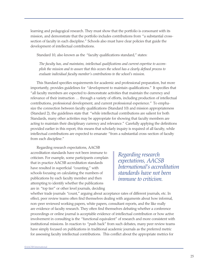learning and pedagogical research. They must show that the portfolio is consonant with its mission, and demonstrate that the portfolio includes contributions from "a substantial crosssection of faculty in each discipline." Schools also must have clear policies that guide the development of intellectual contributions.

Standard 10, also known as the "faculty qualifications standard," states:

*The faculty has, and maintains, intellectual qualifications and current expertise to accomplish the mission and to assure that this occurs the school has a clearly defined process to evaluate individual faculty member's contributions to the school's mission.*

This Standard specifies requirements for academic and professional preparation, but more importantly, provides guidelines for "development to maintain qualifications." It specifies that "all faculty members are expected to demonstrate activities that maintain the currency and relevance of their instruction … through a variety of efforts, including production of intellectual contributions, professional development, and current professional experience." To emphasize the connection between faculty qualifications (Standard 10) and mission appropriateness (Standard 2), the guidelines state that "while intellectual contributions are salient for both Standards, many other activities may be appropriate for showing that faculty members are acting to maintain their disciplinary currency and relevance." Carefully applying the definitions provided earlier in this report, this means that scholarly inquiry is required of all faculty, while intellectual contributions are expected to emanate "from a substantial cross-section of faculty from each discipline."

Regarding research expectations, AACSB accreditation standards have not been immune to criticism. For example, some participants complain that in practice AACSB accreditation standards have resulted in superficial "counting," with schools focusing on calculating the numbers of publications by each faculty member and then attempting to identify whether the publications are in "top tier" or other level journals, deciding

*Regarding research expectations, AACSB International's accreditation standards have not been immune to criticism.* 

whether trade journals "count," arguing about acceptance rates of different journals, etc. In effect, peer review teams often find themselves dealing with arguments about how informal, non-peer reviewed working papers, white papers, consultant reports, and the like really are evidence of faculty research. They often find themselves debating whether a conference proceedings or online journal is acceptable evidence of intellectual contribution or how active involvement in consulting is the "functional equivalent" of research and more consistent with institutional missions. In reaction to "push back" from such debates, many peer review teams have simply focused on publications in traditional academic journals as the preferred metric for assessing faculty intellectual contributions. This conflict about the appropriate metrics for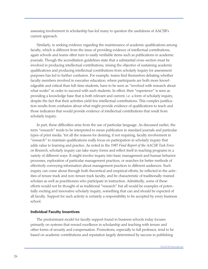assessing involvement in scholarship has led many to question the usefulness of AACSB's current approach.

Similarly, in seeking evidence regarding the maintenance of academic qualifications among faculty, which is different from the issue of providing evidence of intellectual contributions, again schools and teams often turn to easily verifiable items such as publications in academic journals. Though the accreditation guidelines state that a substantial cross-section must be involved in producing intellectual contributions, mixing the objective of sustaining academic qualifications and producing intellectual contributions from scholarly inquiry for assessment purposes has led to further confusion. For example, teams find themselves debating whether faculty members involved in executive education, where participants are both more knowledgeable and critical than full-time students, have to be seen as "involved with research about what works" in order to succeed with such students. In effect, their "experience" is seen as providing a knowledge base that is both relevant and current, i.e. a form of scholarly inquiry, despite the fact that their activities yield few intellectual contributions. This complex justification results from confusion about what might provide evidence of qualifications to teach and those indicators that would provide evidence of intellectual contributions that result from scholarly inquiry.

In part, these difficulties arise from the use of particular language. As discussed earlier, the term "research" tends to be interpreted to mean publication in standard journals and particular types of print media. Yet all the reasons for desiring, if not requiring, faculty involvement in "research" to maintain qualifications really focus on participation in scholarly inquiry that adds value to learning and practice. As noted in the 1987 *Final Report of the AACSB Task Force on Research*, scholarly inquiry can take many forms and reflect itself in teaching programs in a variety of different ways. It might involve inquiry into basic management and human behavior processes, exploration of particular management practices, or searches for better methods of effectively conveying information about management practices to different audiences. Such inquiry can come about through both theoretical and empirical efforts, be reflected in the activities of tenure track and non-tenure track faculty, and be characteristic of traditionally-trained scholars as well as practitioners who participate in instruction. Admittedly, some of these efforts would not be thought of as traditional "research" but all would be examples of potentially exciting and innovative scholarly inquiry, something that can and should be expected of all faculty. Support for such activity is certainly a responsibility to be accepted by every business school.

#### **Individual Faculty Incentives**

The predominant model for faculty support found in business schools today focuses primarily on systems that reward excellence in scholarship and teaching with tenure and other forms of security and compensation. Promotions, especially to full professor, tend to be based on academic contributions and reputation largely determined by success in publishing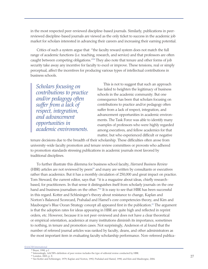in the most respected peer-reviewed discipline-based journals. Similarly, publications in peerreviewed discipline-based journals are viewed as the only ticket to success in the academic job market for scholars interested in advancing their careers and increasing their earning potential.

Critics of such a system argue that "the faculty reward system does not match the full range of academic functions (i.e. teaching, research, and service) and that professors are often caught between competing obligations."58 They also note that tenure and other forms of job security take away any incentive for faculty to excel or improve. These tensions, real or simply perceptual, affect the incentives for producing various types of intellectual contributions in business schools.

*Scholars focusing on contributions to practice and/or pedagogy often suffer from a lack of respect, integration, and advancement opportunities in academic environments.*

This is not to suggest that such an approach has failed to heighten the legitimacy of business schools in the academic community. But one consequence has been that scholars focusing on contributions to practice and/or pedagogy often suffer from a lack of respect, integration, and advancement opportunities in academic environments. The Task Force was able to identify many examples of professors who were highly regarded among executives, and fellow academics for that matter, but who experienced difficult or negative

tenure decisions due to the breadth of their scholarship. These difficulties often arose from university-wide faculty promotion and tenure review committees or provosts who adhered to promotion standards stressing publications in academic journals most favored by traditional disciplines.

To further illustrate this dilemma for business school faculty, *Harvard Business Review* (HBR) articles are not reviewed by peers<sup>59</sup> and many are written by consultants or executives rather than academics. But it has a monthly circulation of 250,000 and great impact on practice. Tom Steward, the current editor, says that "it is a magazine about ideas, chiefly researchbased, for practitioners. In that sense it distinguishes itself from scholarly journals on the one hand and business journalism on the other."<sup>60</sup> It is easy to see that HBR has been successful in this regard. Kotter and Schlesinger's theory about resistance to change, Kaplan and Norton's Balanced Scorecard, Prahalad and Hamel's core competencies theory, and Kim and Mauborgne's Blue Ocean Strategy concept all appeared first in the publication.<sup>61</sup> The argument is that the adoption rates for ideas appearing in HBR are quite high and reflected in reprint orders, etc. However, because it is not peer-reviewed and does not have a clear theoretical or empirical orientation, academics at many institutions diminish its importance, sometimes to nothing, in tenure and promotion cases. Not surprisingly, Anderson et al found that the number of refereed journal articles was ranked by faculty, deans, and other administrators as the most important item in evaluating faculty scholarship performance. Non-refereed publica-

#### ©AACSB International

58 Boyer, 1990, p.1

<sup>59</sup> Interestingly, AACSB's definition of peer review includes the type of editorial review conducted by HBR.

<sup>60</sup> London, 2003, p. X

<sup>61</sup> See Kotter and Schlesinger, 1979; Kaplan and Norton, 1992; Prahalad and Hamel, 1990; and Kim and Mauborgne, 2004.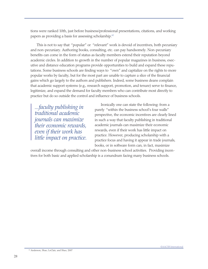tions were ranked 10th, just before business/professional presentations, citations, and working papers as providing a basis for assessing scholarship.<sup>62</sup>

This is not to say that "popular" or "relevant" work is devoid of incentives, both pecuniary and non-pecuniary. Authoring books, consulting, etc. can pay handsomely. Non-pecuniary benefits can come in the form of status as faculty members extend their reputation beyond academic circles. In addition to growth in the number of popular magazines in business, executive and distance education programs provide opportunities to build and expand these reputations. Some business schools are finding ways to "own" and capitalize on the rights to more popular works by faculty, but for the most part are unable to capture a slice of the financial gains which go largely to the authors and publishers. Indeed, some business deans complain that academic support systems (e.g., research support, promotion, and tenure) serve to finance, legitimize, and expand the demand for faculty members who can contribute most directly to practice but do so outside the control and influence of business schools.

*...faculty publishing in traditional academic journals can maximize their economic rewards, even if their work has little impact on practice.* 

Ironically one can state the following: from a purely "within the business school's four walls" perspective, the economic incentives are clearly lined in such a way that faculty publishing in traditional academic journals can maximize their economic rewards, even if their work has little impact on practice. However, producing scholarship with a practice focus and having it appear in trade journals, books, or in software form can, in fact, maximize

overall income through consulting and other non-business school activities. Providing incentives for both basic and applied scholarship is a conundrum facing many business schools.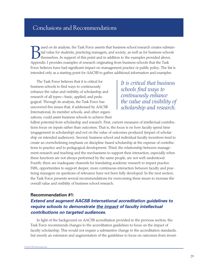# Conclusions and Recommendations

ased on its analysis, the Task Force asserts that business school research creates substantial value for students, practicing managers, and society, as well as for business schools themselves. In support of this point and tial value for students, practicing managers, and society, as well as for business schools themselves. In support of this point and in addition to the examples provided above, Appendix 1 provides examples of research originating from business schools that the Task Force believes have had significant impact on management practice or public policy. The list is intended only as a starting point for AACSB to gather additional information and examples.

The Task Force believes that it is critical for business schools to find ways to continuously enhance the value and visibility of scholarship and research of all types—basic, applied, and pedagogical. Through its analysis, the Task Force has uncovered five issues that, if addressed by AACSB International, its member schools, and other organizations, could assist business schools to achieve their

*It is critical that business schools find ways to continuously enhance the value and visibility of scholarship and research.* 

fullest potential from scholarship and research. First, current measures of intellectual contributions focus on inputs rather than outcomes. That is, the focus is on how faculty spend time (engagement in scholarship) and not on the value of outcomes produced (impact of scholarship on intended audiences). Second, business school and individual faculty incentives tend to create an overwhelming emphasis on discipline-based scholarship at the expense of contributions to practice and to pedagogical development. Third, the relationship between management research and teaching and the mechanisms to support their interaction, especially when these functions are not always performed by the same people, are not well-understood. Fourth, there are inadequate channels for translating academic research to impact practice. Fifth, opportunities to support deeper, more continuous interaction between faculty and practicing managers on questions of relevance have not been fully developed. In the next section, the Task Force presents several recommendations for overcoming these issues to increase the overall value and visibility of business school research.

## **Recommendation #1:**

# *Extend and augment AACSB International accreditation guidelines to require schools to demonstrate the impact of faculty intellectual contributions on targeted audiences.*

In light of the background on AACSB accreditation provided in the previous section, the Task Force recommends changes to the accreditation guidelines to focus on the impact of faculty scholarship. This would not require a substantive change to the accreditation standards, but merely an extension and augmentation of the guidelines to focus on outcomes from invest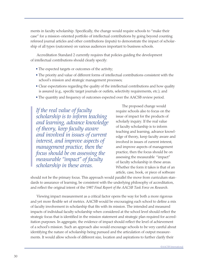ments in faculty scholarship. Specifically, the change would require schools to "make their case" for a mission-oriented portfolio of intellectual contributions by going beyond counting refereed journal articles and other contributions (inputs) to demonstrate the impact of scholarship of all types (outcomes) on various audiences important to business schools.

Accreditation Standard 2 currently requires that policies guiding the development of intellectual contributions should clearly specify:

- The expected targets or outcomes of the activity;
- The priority and value of different forms of intellectual contributions consistent with the school's mission and strategic management processes;
- Clear expectations regarding the quality of the intellectual contributions and how quality is assured (e.g., specific target journals or outlets, selectivity requirements, etc.); and
- The quantity and frequency of outcomes expected over the AACSB review period.

*If the real value of faculty scholarship is to inform teaching and learning, advance knowledge of theory, keep faculty aware and involved in issues of current interest, and improve aspects of management practice, then the focus should be on assessing the measurable "impact" of faculty scholarship in these areas.* 

The proposed change would require schools also to focus on the issue of impact for the products of scholarly inquiry. If the real value of faculty scholarship is to inform teaching and learning, advance knowledge of theory, keep faculty aware and involved in issues of current interest, and improve aspects of management practice, then the focus should be on assessing the measurable "impact" of faculty scholarship in these areas. Whether the form it takes is that of an article, case, book, or piece of software

should not be the primary focus. This approach would parallel the move from curriculum standards to assurance of learning, be consistent with the underlying philosophy of accreditation, and reflect the original intent of the 1987 *Final Report of the AACSB Task Force on Research*.

Viewing impact measurement as a critical factor opens the way for both a more rigorous and yet more flexible set of metrics. AACSB would be encouraging each school to define a mix of faculty involvement in scholarship that fits with its mission. The intended and measured impacts of individual faculty scholarship when considered at the school level should reflect the strategic focus that is identified in the mission statement and strategic plan required for accreditation purposes. In aggregate, the evidence of impact should reflect the level of achievement of a school's mission. Such an approach also would encourage schools to be very careful about identifying the nature of scholarship being pursued and the articulation of output measurements. It would allow schools of different size, location and aspirations to further clarify their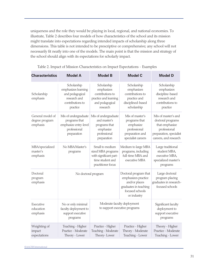uniqueness and the role they would be playing in local, regional, and national economies. To illustrate, Table 2 describes four models of how characteristics of the school and its mission might translate into expectations regarding intended impacts of scholarship along three dimensions. This table is not intended to be prescriptive or comprehensive; any school will not necessarily fit neatly into one of the models. The main point is that the mission and strategy of the school should align with its expectations for scholarly impact.

| <b>Characteristics</b>                         | <b>Model A</b>                                                                                        | <b>Model B</b>                                                                                            | <b>Model C</b>                                                                                                           | <b>Model D</b>                                                                                                                 |
|------------------------------------------------|-------------------------------------------------------------------------------------------------------|-----------------------------------------------------------------------------------------------------------|--------------------------------------------------------------------------------------------------------------------------|--------------------------------------------------------------------------------------------------------------------------------|
| Scholarship<br>emphasis                        | Scholarship<br>emphasizes learning<br>and pedagogical<br>research and<br>contributions to<br>practice | Scholarship<br>emphasizes<br>contributions to<br>practice and learning<br>and pedagogical<br>research     | Scholarship<br>emphasizes<br>contributions to<br>practice and<br>disciplined-based<br>scholarship                        | Scholarship<br>emphasizes<br>discipline-based<br>research and<br>contributions to<br>practice                                  |
| General model of<br>degree program<br>emphasis | Mix of undergraduate<br>programs that<br>emphasize entry-level<br>professional<br>preparation         | Mix of undergraduate<br>and master's<br>programs that<br>emphasize<br>professional<br>preparation         | Mix of master's<br>programs that<br>emphasize<br>professional<br>preparation and<br>specialist careers                   | Mix of master's and<br>doctoral programs<br>that emphasize<br>professional<br>preparation, specialist<br>careers, and research |
| MBA/specialized<br>master's<br>emphasis        | No MBA/Master's<br>programs                                                                           | Small to medium<br>sized MBA programs<br>with significant part-<br>time student and<br>practitioner focus | Medium to large MBA<br>programs, including<br>full-time MBA and<br>executive MBA                                         | Large traditional<br>student MBA,<br>executive MBA,<br>specialized master's<br>programs                                        |
| Doctoral<br>program<br>emphasis                | No doctoral program                                                                                   |                                                                                                           | Doctoral program that<br>emphasizes practice<br>and/or places<br>graduates in teaching<br>focused schools<br>or industry | Large doctoral<br>program placing<br>graduates in research-<br>focused schools                                                 |
| Executive<br>education<br>emphasis             | No or only minimal<br>faculty deployment to<br>support executive<br>programs                          |                                                                                                           | Moderate faculty deployment<br>to support executive programs                                                             | Significant faculty<br>deployment to<br>support executive<br>programs                                                          |
| Weighting of<br>impact<br>expectations         | Teaching - Higher<br>Practice - Moderate<br>Theory - Lower                                            | Practice - Higher<br>Teaching - Moderate<br>Theory-Lower                                                  | Practice - Higher<br>Theory - Moderate<br>Teaching - Lower                                                               | Theory - Higher<br>Practice - Moderate<br>Teaching - Lower                                                                     |

|  |  |  | Table 2. Impact of Mission Characteristics on Impact Expectations - Examples |  |
|--|--|--|------------------------------------------------------------------------------|--|
|--|--|--|------------------------------------------------------------------------------|--|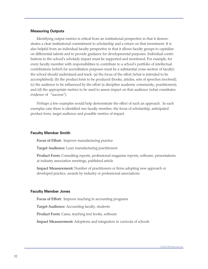#### **Measuring Outputs**

Identifying output metrics is critical from an institutional perspective in that it demonstrates a clear institutional commitment to scholarship and a return on that investment. It is also helpful from an individual faculty perspective in that it allows faculty groups to capitalize on differential talents and to provide guidance for developmental purposes. Individual contributions to the school's scholarly impact must be supported and monitored. For example, for every faculty member with responsibilities to contribute to a school's portfolio of intellectual contributions (which for accreditation purposes must be a substantial cross–section of faculty) the school should understand and track: (a) the focus of the effort (what is intended to be accomplished); (b) the product form to be produced (books, articles, sets of speeches involved); (c) the audience to be influenced by the effort (a discipline academic community, practitioners); and (d) the appropriate metrics to be used to assess impact on that audience (what constitutes evidence of "success").

Perhaps a few examples would help demonstrate the effect of such an approach. In each exemplar case there is identified one faculty member, the focus of scholarship, anticipated product form, target audience and possible metrics of impact.

#### **Faculty Member Smith**

Focus of Effort: Improve manufacturing practice

Target Audience: Lean manufacturing practitioners

Product Form: Consulting reports, professional magazine reports, software, presentations at industry association meetings, published article

Impact Measurement: Number of practitioners or firms adopting new approach or developed practice, awards by industry or professional associations

#### **Faculty Member Jones**

Focus of Effort:Improve teaching in accounting programs

Target Audience: Accounting faculty, students

Product Form: Cases, teaching text books, software

Impact Measurement: Adoptions and integration in curricula of schools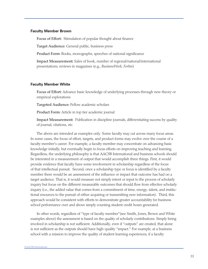#### **Faculty Member Brown**

Focus of Effort: Stimulation of popular thought about finance

Target Audience: General public, business press

Product Form: Books, monographs, speeches of national significance

Impact Measurement: Sales of book, number of regional/national/international presentations, reviews in magazines (e.g., *BusinessWeek, Forbes*)

#### **Faculty Member White**

Focus of Effort: Advance basic knowledge of underlying processes through new theory or empirical explorations

Targeted Audience: Fellow academic scholars

Product Form: Article in top tier academic journal

Impact Measurement: Publication in discipline journals, differentiating success by quality of journal, citations, etc.

The above are intended as examples only. Some faculty may cut across many focus areas. In some cases, the focus of effort, targets, and product forms may evolve over the course of a faculty member's career. For example, a faculty member may concentrate on advancing basic knowledge initially, but eventually begin to focus efforts on improving teaching and learning. Regardless, the underlying philosophy is that AACSB International and business schools should be interested in a measurement of output that would accomplish three things. First, it would provide evidence that faculty have some involvement in scholarship regardless of the focus of that intellectual pursuit. Second, once a scholarship type or focus is identified by a faculty member there would be an assessment of the influence or impact that outcome has had on a target audience. That is, it would measure not simply intent or input to the process of scholarly inquiry but focus on the different measurable outcomes that should flow from effective scholarly inquiry (i.e., the added value that comes from a commitment of time, energy, talent, and institutional resources to the pursuit of either acquiring or transmitting new information). Third, this approach would be consistent with efforts to demonstrate greater accountability for business school performance over and above simply counting student credit hours generated.

In other words, regardless of "type of faculty member"(see Smith, Jones, Brown and White examples above) the assessment is based on the quality of scholarly contributions. Simply being involved in scholarship is not sufficient. Additionally, even if "outputs" are created, that alone is not sufficient as the outputs should have high-quality "impact." For example, at a business school with a mission to improve the quality of student learning experiences, if a faculty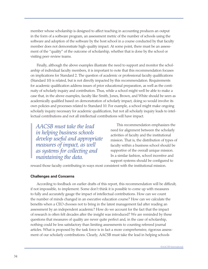member whose scholarship is designed to affect teaching in accounting produces an output in the form of a software program, an assessment metric of the number of schools using the software and adoption of the software by the host school in a course conducted by that faculty member does not demonstrate high-quality impact. At some point, there must be an assessment of the "quality" of the outcome of scholarship, whether that is done by the school or visiting peer-review teams.

Finally, although the above examples illustrate the need to support and monitor the scholarship of individual faculty members, it is important to note that this recommendation focuses on implications for Standard 2. The question of academic or professional faculty qualifications (Standard 10) is related, but is not directly impacted by this recommendation. Requirements for academic qualification address issues of prior educational preparation, as well as the continuity of scholarly inquiry and contribution. Thus, while a school might well be able to make a case that, in the above examples, faculty like Smith, Jones, Brown, and White should be seen as academically qualified based on demonstration of scholarly impact, doing so would involve its own policies and processes related to Standard 10. For example, a school might make ongoing scholarly inquiry necessary for academic qualification, but not all scholarly inquiry leads to intellectual contributions and not all intellectual contributions will have impact.

*AACSB must take the lead in helping business schools develop useful and appropriate measures of impact, as well as systems for collecting and maintaining the data.*

This recommendation emphasizes the need for alignment between the scholarly activities of faculty and the institutional mission. That is, the distribution of types of faculty within a business school should be supportive of the overall unique mission. In a similar fashion, school incentive and support systems should be configured to

reward those faculty contributing in ways most consistent with the institutional mission.

#### **Challenges and Concerns**

According to feedback on earlier drafts of this report, this recommendation will be difficult, if not impossible, to implement. Some don't think it is possible to come up with measures to fully and accurately gauge the impact of intellectual contributions. How can we count the number of minds changed in an executive education course? How can we calculate the benefits when a CEO chooses not to bring in the latest management fad after reading an assessment by an independent academic? How do we account for the fact that the impact of research is often felt decades after the insight was introduced? We are reminded by these questions that measures of quality are never quite perfect and, in the case of scholarship, nothing could be less satisfactory than limiting assessments to counting refereed journal articles. What is proposed by the task force is in fact a more comprehensive, rigorous assessment of our scholarly contributions. Clearly, AACSB must take the lead in helping schools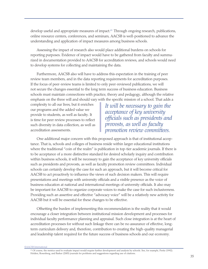develop useful and appropriate measures of impact.<sup>63</sup> Through ongoing research, publications, online resource centers, conferences, and seminars, AACSB is well-positioned to advance the understanding and application of impact measures among business schools.

Assessing the impact of research also would place additional burdens on schools for reporting purposes. Evidence of impact would have to be gathered from faculty and summarized in documentation provided to AACSB for accreditation reviews, and schools would need to develop systems for collecting and maintaining the data.

Furthermore, AACSB also will have to address this expectation in the training of peer review team members, and in the data reporting requirements for accreditation purposes. If the focus of peer-review teams is limited to only peer-reviewed publications, we will not secure the changes essential to the long term success of business education. Business schools must maintain connections with practice, theory and pedagogy, although the relative emphasis on the three will and should vary with the specific mission of a school. That adds a

complexity to all our lives, but it enriches our programs and the added value we provide to students, as well as faculty. It is time for peer review processes to reflect such diversity in data collection, as well as accreditation assessments.

*It will be necessary to gain the acceptance of key university officials such as presidents and provosts, as well as faculty promotion review committees.* 

One additional major concern with this proposed approach is that of institutional acceptance. That is, schools and colleges of business reside within larger educational institutions where the traditional "coin of the realm" is publication in top-tier academic journals. If there is to be acceptance of a more distinctive standard for desired scholarly inquiry and contribution within business schools, it will be necessary to gain the acceptance of key university officials such as presidents and provosts, as well as faculty promotion review committees. Individual schools can certainly develop the case for such an approach, but it will become critical for AACSB to act proactively to influence the views of such decision makers. This will require presentations and meetings with university officials and a visible presence as the voice of business education at national and international meetings of university officials. It also may be important for AACSB to organize corporate voices to make the case for such inclusiveness. Providing such an assertive and effective "advocacy voice" will be a relatively new activity for AACSB but it will be essential for these changes to be effective.

Offsetting the burden of implementing this recommendation is the reality that it would encourage a closer integration between institutional mission development and processes for individual faculty performance planning and appraisal. Such close integration is at the heart of accreditation processes for without such linkage there can be no assurance of effective, longterm curriculum delivery and, therefore, contribution to creating the high-quality managerial and leadership talent required for the future success of business schools and our economy.

©AACSB International

<sup>&</sup>lt;sup>63</sup> Of course, the metrics used to evaluate impact would require further development and analysis by schools. See, for example, Peritz (1992). Holden, Rosenberg, and Barker (2005) journals for problems and suggestions regarding use of citations.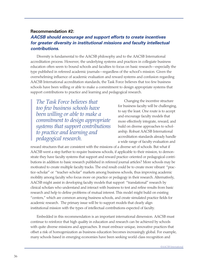## **Recommendation #2:**

# *AACSB should encourage and support efforts to create incentives for greater diversity in institutional missions and faculty intellectual contributions.*

Diversity is fundamental to the AACSB philosophy and to the AACSB International accreditation process. However, the underlying systems and practices in collegiate business education often seem to bound schools and faculties to focus on basic research—especially the type published in refereed academic journals—regardless of the school's mission. Given the overwhelming influence of academic evaluation and reward systems and confusion regarding AACSB International accreditation standards, the Task Force believes that too few business schools have been willing or able to make a commitment to design appropriate systems that support contributions to practice and learning and pedagogical research.

*The Task Force believes that too few business schools have been willing or able to make a commitment to design appropriate systems that support contributions to practice and learning and pedagogical research.* 

Changing the incentive structure for business faculty will be challenging, to say the least. One route is to accept and encourage faculty models that more effectively integrate, reward, and build on diverse approaches to scholarship. Robust AACSB International accreditation standards already handle a wide range of faculty evaluation and

reward structures that are consistent with the missions of a diverse set of schools. But what if AACSB went a step further to require business schools, if applicable to their mission, to demonstrate they have faculty systems that support and reward practice-oriented or pedagogical contributions in addition to basic research published in refereed journal articles? More schools may be motivated to create multiple faculty tracks. The end result could be to create more vibrant "practice-scholar" or "teacher-scholar" markets among business schools, thus improving academic mobility among faculty who focus more on practice or pedagogy in their research. Alternatively, AACSB might assist in developing faculty models that support "translational" research by clinical scholars who understand and interact with business to test and refine results from basic research and help to define problems of mutual interest. This model might build on existing "centers," which are common among business schools, and create simulated practice fields for academic research. The primary issue will be to support models that clearly align institutional mission with the types of intellectual contributions expected of faculty.

Embedded in this recommendation is an important international dimension. AACSB must continue to reinforce that high quality in education and research can be achieved by schools with quite diverse missions and approaches. It must embrace unique, innovative practices that offset a risk of homogenization as business education becomes increasingly global. For example, many schools based in emerging economies have been seeking world-class recognition and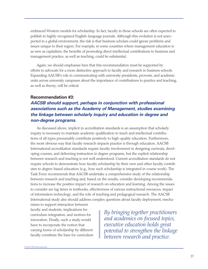embraced Western models for scholarship. In fact, faculty in these schools are often expected to publish in highly-recognized English-language journals. Although this evolution is not unexpected in a global environment, the risk is that business scholars could ignore problems and issues unique to their region. For example, in some countries where management education is as new as capitalism, the benefits of promoting direct intellectual contributions to business and management practice, as well as teaching, could be substantial.

Again, we should emphasize here that this recommendation must be supported by efforts to advocate for a more distinctive approach to faculty and research in business schools. Expanding AACSB's role in communicating with university presidents, provosts, and academic units across university campuses about the importance of contributions to practice and teaching, as well as theory, will be critical.

## **Recommendation #3:**

# *AACSB should support, perhaps in conjunction with professional associations such as the Academy of Management, studies examining the linkage between scholarly inquiry and education in degree and non-degree programs.*

As discussed above, implicit in accreditation standards is an assumption that scholarly inquiry is necessary to maintain academic qualification to teach and intellectual contributions of all types presumably contribute positively to high-quality education. Furthermore, the most obvious way that faculty research impacts practice is through education. AACSB International accreditation standards require faculty involvement in designing curricula, developing courses, and delivering instruction in degree programs, but the explicit relationship between research and teaching is not well understood. Current accreditation standards do not require schools to demonstrate how faculty scholarship by their own and other faculty contributes to degree-based education (e.g., how such scholarship is integrated in course work). The Task Force recommends that AACSB undertake a comprehensive study of the relationship between research and teaching and, based on the results, consider developing recommendations to increase the positive impact of research on education and learning. Among the issues to consider are lag times in textbooks, effectiveness of various instructional resources, impact of information technology, and the role of teaching and pedagogical research. The AACSB International study also should address complex questions about faculty deployment, mecha-

nisms to support interaction between faculty and students, implications for curriculum integration, and motives for innovation. Finally, such a study would have to incorporate the notion that varying forms of scholarship by different faculty constitute the base for curriculum

*By bringing together practitioners and academics on focused topics, executive education holds great potential to strengthen the linkage between research and practice.*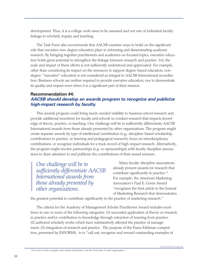development. Thus, it is a college-wide issue to be assessed and not one of individual faculty linkage to scholarly inquiry and teaching.

The Task Force also recommends that AACSB examine ways to build on the significant role that executive non-degree education plays in informing and disseminating academic research. By bringing together practitioners and academics on focused topics, executive education holds great potential to strengthen the linkage between research and practice. Yet, the scale and impact of these efforts is not sufficiently understood and appreciated. For example, other than considering its impact on the resources to support degree-based education, nondegree "executive" education is not considered as integral to AACSB International accreditation. Business schools are neither required to provide executive education, nor to demonstrate its quality and impact even when it is a significant part of their mission.

# **Recommendation #4:**  *AACSB should develop an awards program to recognize and publicize high-impact research by faculty.*

This awards program could bring much-needed visibility to business school research and provide additional incentives for faculty and schools to conduct research that impacts knowledge of theory, practice, or teaching. One challenge will be to sufficiently differentiate AACSB International awards from those already presented by other organizations. The program might create separate awards by type of intellectual contribution (e.g., discipline-based scholarship, contributions to practice, or learning and pedagogical research), focus on interdisciplinary contributions, or recognize individuals for a track record of high-impact research. Alternatively, the program might involve partnerships (e.g. co-sponsorships) with faculty discipline associations to draw attention to and publicize the contributions of their award winners.

*One challenge will be to sufficiently differentiate AACSB International awards from those already presented by other organizations.*

Many faculty-discipline associations already present awards for research that contribute significantly to practice.<sup>64</sup> For example, the American Marketing Association's Paul E. Green Award "recognizes the best article in the Journal of Marketing Research that demonstrates

the greatest potential to contribute significantly to the practice of marketing research."

The criteria for the Academy of Management Scholar Practitioner Award includes excellence in one or more of the following categories: (1) successful application of theory or research in practice and/or contribution to knowledge through extraction of learning from practice; (2) authored scholarly works which have substantively affected the practice of management; (3) integration of research and practice. The purpose of the Franz Edelman competition, presented by INFORMS, is to "call out, recognize and reward outstanding examples of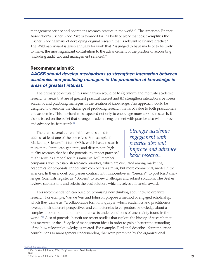management science and operations research practice in the world." The American Finance Association's Fischer Black Prize is awarded for "a body of work that best exemplifies the Fischer Black hallmark of developing original research that is relevant to finance practice." The Wildman Award is given annually for work that "is judged to have made or to be likely to make, the most significant contribution to the advancement of the practice of accounting (including audit, tax, and management services)."

## **Recommendation #5:**

# *AACSB should develop mechanisms to strengthen interaction between academics and practicing managers in the production of knowledge in areas of greatest interest.*

The primary objectives of this mechanism would be to (a) inform and motivate academic research in areas that are of greatest practical interest and (b) strengthen interactions between academic and practicing managers in the creation of knowledge. This approach would be designed to overcome the challenge of producing research that is of value to both practitioners and academics. This mechanism is expected not only to encourage more applied research, it also is based on the belief that stronger academic engagement with practice also will improve and advance basic research.<sup>65</sup>

There are several current initiatives designed to address at least one of the objectives. For example, the Marketing Sciences Institute (MSI), which has a research mission to "stimulate, generate, and disseminate highquality research that has the potential to impact practice," might serve as a model for this initiative. MSI member

*Stronger academic engagement with practice also will improve and advance basic research.* 

companies vote to establish research priorities, which are circulated among marketing academics for proposals. Innocentive.com offers a similar, but more commercial, model in the sciences. In their model, companies contract with Innocentive as "Seekers" to post R&D challenges. Scientists register as "Solvers" to review challenges and submit solutions. The Seeker reviews submissions and selects the best solution, which receives a financial award.

This recommendation can build on promising new thinking about how to organize research. For example, Van de Ven and Johnson propose a method of engaged scholarship, which they define as "a collaborative form of inquiry in which academics and practitioners leverage their different perspectives and competencies to co-produce knowledge about a complex problem or phenomenon that exists under conditions of uncertainty found in the world."66 Also of potential benefit are recent studies that explore the history of research that has mattered or the life cycle of management ideas in order to gain a better understanding of the how relevant knowledge is created. For example, Ford et al describe "four important contributions to management understanding that were prompted by the organizational

©AACSB International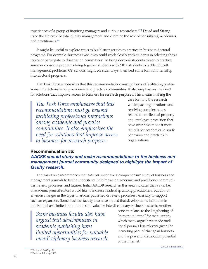experiences of a group of inquiring managers and curious researchers."<sup>67</sup> David and Strang trace the life cycle of total quality management and examine the role of consultants, academics, and practitioners.<sup>68</sup>

It might be useful to explore ways to build stronger ties to practice in business doctoral programs. For example, business executives could work closely with students in selecting thesis topics or participate in dissertation committees. To bring doctoral students closer to practice, summer consortia programs bring together students with MBA students to tackle difficult management problems. Or, schools might consider ways to embed some form of internship into doctoral programs.

The Task Force emphasizes that this recommendation must go beyond facilitating professional interactions among academic and practice communities. It also emphasizes the need for solutions that improve access to business for research purposes. This means making the

*The Task Force emphasizes that this recommendation must go beyond facilitating professional interactions among academic and practice communities. It also emphasizes the need for solutions that improve access to business for research purposes.* 

case for how the research will impact organizations and resolving complex issues related to intellectual property and employee protection that have over time made it more difficult for academics to study behaviors and practices in organizations.

## **Recommendation #6:**

# *AACSB should study and make recommendations to the business and management journal community designed to highlight the impact of faculty research.*

The Task Force recommends that AACSB undertake a comprehensive study of business and management journals to better understand their impact on academic and practitioner communities, review processes, and futures. Initial AACSB research in this area indicates that a number of academic journal editors would like to increase readership among practitioners, but do not envision changes in the types of articles published or review processes necessary to support such an expansion. Some business faculty also have argued that developments in academic publishing have limited opportunities for valuable interdisciplinary business research. Another

*Some business faculty also have argued that developments in academic publishing have limited opportunities for valuable interdisciplinary business research.*  concern relates to the lengthening of "turnaround time" for manuscripts, which many argue have made traditional journals less relevant given the increasing pace of change in business and the powerful distribution potential of the Internet.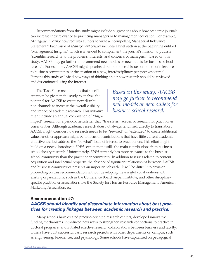Recommendations from this study might include suggestions about how academic journals can increase their relevance to practicing managers or to management education. For example, *Management Science* now requires authors to write a "compelling Managerial Relevance Statement." Each issue of *Management Science* includes a brief section at the beginning entitled "Management Insights," which is intended to complement the journal's mission to publish "scientific research into the problems, interests, and concerns of managers." Based on this study, AACSB may go further to recommend new models or new outlets for business school research. For example, AACSB might spearhead periodic special issues on topics of relevance to business communities or the creation of a new, interdisciplinary perspectives journal. Perhaps this study will yield new ways of thinking about how research should be reviewed and disseminated using the Internet.

The Task Force recommends that specific attention be given in the study to analyze the potential for AACSB to create new distribution channels to increase the overall visibility and impact of academic research. This initiative might include an annual compilation of "high-

*Based on this study, AACSB may go further to recommend new models or new outlets for business school research.*

impact" research or a periodic newsletter that "translates" academic research for practitioner communities. Although academic research does not always lend itself directly to translation, AACSB might consider how research needs to be "rewired" or "extended" to create additional value. Another approach might be to focus on contributions that have little current academic attractiveness but address the "so what" issue of interest to practitioners. This effort might build on a newly-introduced *BizEd* section that distills the main contributions from business school faculty research. Unfortunately, *BizEd* currently has more relevance to the business school community than the practitioner community. In addition to issues related to content acquisition and intellectual property, the absence of significant relationships between AACSB and business communities presents an important obstacle. It will be difficult to envision proceeding on this recommendation without developing meaningful collaborations with existing organizations, such as the Conference Board, Aspen Institute, and other disciplinespecific practitioner associations like the Society for Human Resource Management, American Marketing Association, etc.

## **Recommendation #7:**  *AACSB should identify and disseminate information about best practices for creating linkages between academic research and practice.*

Many schools have created practice-oriented research centers, developed innovative funding mechanisms, introduced new ways to strengthen research connections to practice in doctoral programs, and initiated effective research collaborations between business and faculty. Others have built successful basic research projects with other departments on campus, such as engineering, biosciences, and psychology. Some schools have capitalized on pedagogical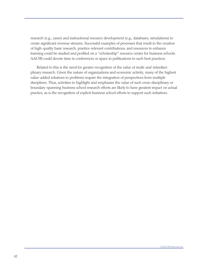research (e.g., cases) and instructional resource development (e.g., databases, simulations) to create significant revenue streams. Successful examples of processes that result in the creation of high-quality basic research, practice-relevant contributions, and resources to enhance learning could be studied and profiled on a "scholarship" resource center for business schools. AACSB could devote time in conferences or space in publications to such best practices.

Related to this is the need for greater recognition of the value of multi-and-interdisciplinary research. Given the nature of organizations and economic activity, many of the highest value-added solutions to problems require the integration of perspectives from multiple disciplines. Thus, activities to highlight and emphasize the value of such cross-disciplinary or boundary-spanning business school research efforts are likely to have greatest impact on actual practice, as is the recognition of explicit business school efforts to support such initiatives.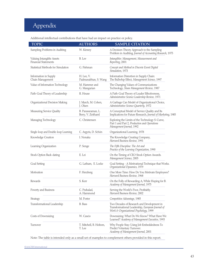# Appendix

I

Additional intellectual contributions that have had an impact on practice or policy.

| <b>TOPIC</b>                                             | <b>AUTHORS</b>                           | <b>SAMPLE CITATION</b>                                                                                                                   |
|----------------------------------------------------------|------------------------------------------|------------------------------------------------------------------------------------------------------------------------------------------|
| Sampling Problems in Auditing                            | W. Kinney                                | A Decision-Theory Approach to the Sampling<br>Problem in Auditing, Journal of Accounting Research, 1975                                  |
| Valuing Intangible Assets<br><b>Financial Statements</b> | B. Lev                                   | Intangibles: Management, Measurement and<br>Reporting, 2001                                                                              |
| Statistical Methods for Simulation                       | G. Fishman                               | Concept and Method in Discrete Event Digital<br>Simulation, 1973                                                                         |
| Information in Supply<br>Chain Management                | H. Lee, V.<br>Padmanabhan, S. Wang       | Information Distortion in Supply Chain:<br>The Bullwhip Effect, Management Science, 1997                                                 |
| Value of Information Technology                          | M. Hammer and<br>G. Mangurian            | The Changing Values of Communications<br>Technology, Sloan Management Review, 1987                                                       |
| Path-Goal Theory of Leadership                           | R. House                                 | A Path-Goal Theory of Leader Effectiveness,<br>Administrative Science Leadership Review, 1971                                            |
| Organizational Decision Making                           | J. March, M. Cohen,<br>J. Olsen          | A Garbage Can Model of Organizational Choice,<br>Administrative Science Quarterly, 1972                                                  |
| Measuring Service Quality                                | B. Parasuraman, L.<br>Berry, V. Zeithaml | A Conceptual Model of Service Quality and Its<br>Implications for Future Research, Journal of Marketing, 1985                            |
| Managing Technology                                      | C. Christensen                           | Exploring the Limits of the Technology S-Curve,<br>Part 1 and Part 2, Production and Operations<br>Management Journal, 1992              |
| Single-loop and Double-loop Learning                     | C. Argyris, D. Schön                     | Organizational Learning, 1978                                                                                                            |
| Knowledge Creation                                       | I. Nonaka                                | The Knowledge Creating Company,<br>Harvard Business Review, 1991                                                                         |
| Learning Organization                                    | P. Senge                                 | The Fifth Discipline: The Art and<br>Practice of the Learning Organization, 1990                                                         |
| Stock Option Back-dating                                 | E. Lei                                   | On the Timing of CEO Stock Option Awards.<br>Management Science, 2005                                                                    |
| Goal Setting                                             | G. Latham, E. Locke                      | Goal Setting - A Motivational Technique that Works.<br>Organizational Dynamics, 1979                                                     |
| Motivation                                               | F. Herzberg                              | One More Time: How Do You Motivate Employees?<br>Harvard Business Review, 1968                                                           |
| Rewards                                                  | S. Kerr                                  | On the Folly of Rewarding A, While Hoping for B.<br>Academy of Management Journal, 1975                                                  |
| Poverty and Business                                     | C. Prahalad,<br>A. Hammond               | Serving the World's Poor, Profitably.<br>Harvard Business Review, 2002                                                                   |
| Strategy                                                 | M. Porter                                | Competitive Advantage, 1985                                                                                                              |
| Transformational Leadership                              | B. Bass                                  | Two Decades of Research and Development in<br>Transformational Leadership, European Journal of<br>Work & Organizational Psychology, 1999 |
| Costs of Downsizing                                      | W. Cascio                                | Downsizing: What Do We Know? What Have We<br>Learned? Academy of Management Executive, 1993                                              |
| Turnover                                                 | T. Mitchell, B. Holtom,<br>T. Lee        | Why People Stay: Using Job Embeddedness To<br>Predict Voluntary Turnover.<br>Academy of Management Journal, 2001                         |

Note: The table is intended only as a small set of examples to complement others provided in this report.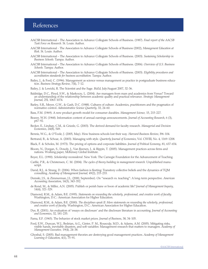# References

- AACSB International The Association to Advance Collegiate Schools of Business. (1987). *Final report of the AACSB Task Force on Research.* St. Louis: Author.
- AACSB International The Association to Advance Collegiate Schools of Business (2002), *Management Education at Risk*. St. Louis: Author.
- AACSB International The Association to Advance Collegiate Schools of Business. (2003). *Sustaining Scholarship in Business Schools.* Tampa: Author.
- AACSB International The Association to Advance Collegiate Schools of Business. (2006). *Overview of U.S. Business Schools.* Tampa: Author.
- AACSB International The Association to Advance Collegiate Schools of Business. (2003). *Eligibility procedures and accreditation standards for business accreditation.* Tampa: Author.
- Bailey, J., & Ford, C. (1996). Management as science versus management as practice in postgraduate business education. *Business Strategy Review*, 7(4), 7-12.

Bailey, J. & Lewicki, R. The Scientist and the Sage. *BizEd*, July/August 2007, 32-36.

- Baldridge, D.C., Floyd, S.W., & Markoczy, L. (2004). Are managers from mars and academics from Venus? Toward an understanding of the relationship between academic quality and practical relevance. *Strategic Management Journal*, 25I, 1063-1074.
- Barley, S.R., Meyer, G.W., & Gash, D.C. (1988). Cultures of culture: Academics, practitioners and the pragmatics of normative control. *Administrative Science Quarterly*, 33, 24-60.
- Bass, F.M. (1969). A new product growth model for consumer durables. *Management Science,* 15, 215-227.
- Beaver, W.H. (1968). Information content of annual earnings announcements. *Journal of Accounting Research*, 6 (3), p67-92.
- Becker, E., Lindsay, C.M., & Grizzle, G. (2003). The derived demand for faculty research. *Managerial and Decision Economics*, 24(8), 549.
- Bennis, W.G., & O'Toole, J. (2005, May). How business schools lost their way. *Harvard Business Review*, I96-104.
- Bertrand, B., & Schoar, A. (2003). Managing with style. *Quarterly Journal of Economics*, Vol. CXVIII, No. 4, 1169-1208.
- Black, F. & Scholes, M. (1973). The pricing of options and corporate liabilities. *Journal of Political Economy*, 81, 637-654.
- Bloom, N., Dorgan, S., Dowdy, J., Van Reenen, J., & Rippin, T. (2005). Management practices across firms and nations. Working paper, McKinsey Global Institute.
- Boyer, E.L. (1990). *Scholarship reconsidered*. New York: The Carnegie Foundation for the Advancement of Teaching.
- Carlile, P.R., & Christensen, C. M. (2004). *The cycles of theory building in management research.* Unpublished manuscript.
- David, R.J., & Strang, D. (2006). When fashion is fleeting: Transitory collective beliefs and the dynamics of TQM consulting. *Academy of Management Journal,* 49(2), 215-233.
- Demski, J.S., & Zimmerman, J.L. (2000, September). On "research vs. teaching": A long-term perspective. *American Accounting Association*, 14(3), 343-352.
- de Rond, M., & Miller, A.N. (2005). Publish or perish bane or boon of academic life? *Journal of Management Inquiry*, 14(4), 321-329.
- Diamond, R.M., & Adam, B.E. (1995). *Statements on rewarding the scholarly, professional, and creative work of faculty.*  Washington, D.C.: American Association for Higher Education.
- Diamond, R.M., & Adam, B.E. (2000). *The disciplines speak II: More statements on rewarding the scholarly, professional, and creative work of faculty.* Washington, D.C.: American Association for Higher Education.
- Dye, R. (2001). An evaluation of 'essays on disclosure' and the disclosure literature in accounting. *Journal of Accounting and Economics*, 32, 181-235.

Fama, E.F. (1965). The behavior of stock market prices. *Journal of Business*, 38, 34-105.

- Ford, E.W., Duncan, W.J., Bedeian, A.G., Ginter, P. M., Rousculp, M.D., & Adams, A.M. (2005). Mitigating risks, visible hands, inevitable disasters, and soft variables: Management research that matters to managers. *Academy of Management Executive,* 19(4), 24-38.
- Ghoshal, S. (2005). Bad management theories are destroying good management practices. *Academy of Management Learning & Education*, 4(1), 75-91.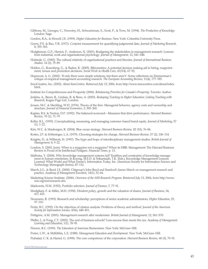Gibbons, M., Limoges, C., Nowotny, H., Schwartzman, S., Scott, P., & Trow, M. (1994). *The Production of Knowledge.*  London: Sage.

Gordon, R.A., & Howell, J.E. (1959). *Higher Education for Business*. New York: Columbia University Press.

- Green, P.E. & Rao, V.R. (1971). Conjoint measurement for quantifying judgmental data. *Journal of Marketing Research,* 8, 355-363.
- Hodgkinson, G.P., Herriot, P., Anderson, N. (2001). Realigning the stakeholders in management research: Lessons from industrial, work and organizational psychology. *Journal of Management*, 12, S41-S48.
- Hofstede, G. (1983). The cultural relativity of organizational practices and theories. *Journal of International Business Studies*, 14 (2), 75-89.
- Holden, G., Rosenberg, G., & Barker, K. (2005). Bibiometrics: A potential decision making aid in hiring, reappointment, tenure and promotion decisions. *Social Work in Health Care*, 41(3/4), 67-92.
- Hopwood, A. G. (2002). 'If only there were simple solutions, but there aren't': Some reflections on Zimmerman's critique of empirical management accounting research. *The European Accounting Review*, 11(4), 777-785.
- InnoCreative, Inc. (2002). *About InnoCentive*. Retrieved July 13, 2006, from http://www.innocentive.com/about/index. html.
- Institute for Competitiveness and Prosperity (2006). *Rebalancing Priorities for Canada's Prosperity*. Toronto: Author.
- Jenkins, A., Breen, R., Lindsay, R. & Brew, A. (2003). *Reshaping Teaching in Higher Education: Linking Teaching with Research*, Kogan Page Ltd., London.
- Jensen, M.C. & Meckling, W.H. (1976). Theory of the firm: Managerial behavior, agency costs and ownership and structure. *Journal of Financial Economics,* 3, 305-360.
- Kaplan, R.S. & Norton, D.P. (1992). The balanced scorecard—Measures that drive performance. *Harvard Business Review*, 70 (1), 71-79.
- Keller, K.L. (1993). Conceptualizing, measuring, and managing customer-based brand equity. *Journal of Marketing*, 57 (1), 1-22.

Kim, W.C. & Mauborgne, R. (2004). Blue ocean strategy. *Harvard Business Review,* 82 (10), 76-84.

Kotter, J.P. & Schlesinger, L.A. (1979). Choosing strategies for change. *Harvard Business Review*, 57 (2), 106-114.

- Knights, D., & Willmott, H. (1997). The hype and hope of interdisciplinary management studies. *British Journal of Management,* 8, 9-22.
- London, S. (2003, June). When is a magazine not a magazine? When its HBR: Management: The Harvard Business Review is Proud of its Intellectual Pedigree. *Financial Times*, p. 13.
- Malhotra, Y. (2004). Why knowledge management systems fail? Enablers and constraints of knowledge management in human enterprises. In Koenig, M.E.D. & Srikantaiah, T.K. (Eds.), Knowledge Management Lessons Learned: What Works and What Doesn't, Information Today, Inc. (American Society for Information Science and Technology Monograph Series), 87-112.
- March, J.G., & Reed, J.S. (2000). Citigroup's John Reed and Stanford's James March on management research and practice. *Academy of Management Executive*, 14(1), 52-64.
- Marketing Science Institute. (2006). *Overview of the MSI Research Program.* Retrieved July 13, 2006, from http://www. msi.org/msi/research.cfm.

Markowitz, H.M. (1952). Portfolio selection. *Journal of Finance*, 7, 77-91.

- Modigliani, F. & Miller, M.H. (1958). Divident policy, growth and the valuation of shares. *Journal of Business*, 34, 411-433.
- Neumann, R. (1993). Research and scholarship: perceptions of senior academic administrators, *Higher Education*, 25, 97-110.
- Peritz, B.C. (1992). On the objectives of citation analysis: Problems of theory and method. *Journal of the American Society for Information Science*, 43(6), 448-451.

Pettigrew, A.M. (2001). Management research after modernism. *British Journal of Management*, 12, S61-S70.

Pfeffer, J., & Fong, C.T. (2002). The end of business schools? Less success than meets the eye. *Academy of Management Learning and Education*, 1(1), 78-95.

Pierson, R.C. (1959). *The Education of American Businessmen*. New York: McGraw-Hill.

Porter, L.W., & McKibbin, L.E. (1988). *Management Education and Development.* New York: McGraw-Hill.

Prahalad, C. K. & Hamel, G. (1990). The core competence of the corporation. *Harvard Business Review*, 68 (3), 79-91.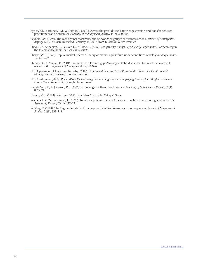- Rynes, S.L., Bartunek, J.M., & Daft, R.L. (2001). Across the great divide: Knowledge creation and transfer between practitioners and academics. *Academy of Management Journal*, 44(2), 340-355.
- Seybolt, J.W. (1996). The case against practicality and relevance as gauges of business schools. *Journal of Management Inquiry*, 5(4), 355-358. Retrieved February 16, 2007, from Business Source Premier.
- Shao, L.P., Anderson, L., LeClair, D., & Shao, S. (2007). *Comparative Analysis of Scholarly Performance*. Forthcoming in the *International Journal of Business Research.*
- Sharpe, W.F. (1964). Capital market prices: A theory of market equilibrium under conditions of risk. *Journal of Finance*, 14, 425-442.
- Starkey, K., & Madan, P. (2001). Bridging the relevance gap: Aligning stakeholders in the future of management research. *British Journal of Management*, 12, S3-S26.
- UK Department of Trade and Industry (2002). *Government Response to the Report of the Council for Excellence and Management in Leadership*. London: Author.
- U.S. Academies. (2006). *Rising Above the Gathering Storm: Energizing and Eemploying America for a Brighter Economic Future.* Washington D.C.: Joseph Henry Press.
- Van de Ven, A., & Johnson, P.E. (2006). Knowledge for theory and practice. *Academy of Management Review*, 31(4), 802-821.

Vroom, V.H. (1964). *Work and Motivation*. New York: John Wiley & Sons.

- Watts, R.L. & Zimmerman, J.L. (1978). Towards a positive theory of the determination of accounting standards. *The Accounting Review*, 53 (1), 112-134.
- Whitley, R. (1984). The fragmented state of management studies: Reasons and consequences. *Journal of Management Studies*, 21(3), 331-348.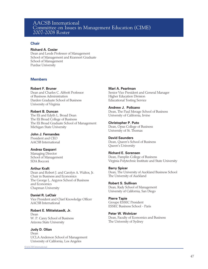## AACSB International Committee on Issues in Management Education (CIME) 2007-2008 Roster

#### **Chair**

#### **Richard A. Cosier**

Dean and Leeds Professor of Management School of Management and Krannert Graduate School of Management Purdue University

#### **Members**

**Robert F. Bruner**  Dean and Charles C. Abbott Professor

of Business Administration Darden Graduate School of Business University of Virginia

#### **Robert B. Duncan**

The Eli and Edyth L. Broad Dean The Eli Broad College of Business The Eli Broad Graduate School of Management Michigan State University

#### **John J. Fernandes**

President and CEO AACSB International

#### **Andrea Gasparri**

Managing Director School of Management SDA Bocconi

#### **Arthur Kraft**

Dean and Robert J. and Carolyn A. Waltos, Jr. Chair in Business and Economics The George L. Argyros School of Business and Economics Chapman University

#### **Daniel R. LeClair** Vice President and Chief Knowledge Officer AACSB International

**Robert E. Mittelstaedt, Jr.**  Dean W. P. Carey School of Business Arizona State University

#### **Judy D. Olian**

Dean UCLA Anderson School of Management University of California, Los Angeles

©AACSB International

#### **Mari A. Pearlman**

Senior Vice President and General Manager Higher Education Division Educational Testing Service

#### **Andrew J. Policano**

Dean, The Paul Merage School of Business University of California, Irvine

# **Christopher P. Puto**

Dean, Opus College of Business University of St. Thomas

#### **David Saunders**

Dean, Queen's School of Business Queen's University

#### **Richard E. Sorensen**

Dean, Pamplin College of Business Virginia Polytechnic Institute and State University

#### **Barry Spicer**

Dean, The University of Auckland Business School The University of Auckland

#### **Robert S. Sullivan**

Dean, Rady School of Management University of California, San Diego

#### **Pierre Tapie**

Groupe ESSEC President ESSEC Business School - Paris

#### **Peter W. Wolnizer**

Dean, Faculty of Economics and Business The University of Sydney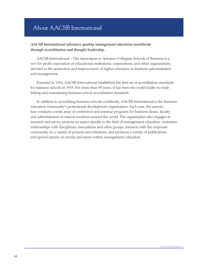# About AACSB International

## *AACSB International advances quality management education worldwide through accreditation and thought leadership.*

AACSB International – The Association to Advance Collegiate Schools of Business is a not-for-profit corporation of educational institutions, corporations, and other organizations devoted to the promotion and improvement of higher education in business administration and management.

Founded in 1916, AACSB International established the first set of accreditation standards for business schools in 1919. For more than 90 years, it has been the world leader in establishing and maintaining business school accreditation standards.

In addition to accrediting business schools worldwide, AACSB International is the business education community's professional development organization. Each year, the association conducts a wide array of conference and seminar programs for business deans, faculty, and administrators at various locations around the world. The organization also engages in research and survey projects on topics specific to the field of management education, maintains relationships with disciplinary associations and other groups, interacts with the corporate community on a variety of projects and initiatives, and produces a variety of publications and special reports on trends and issues within management education.